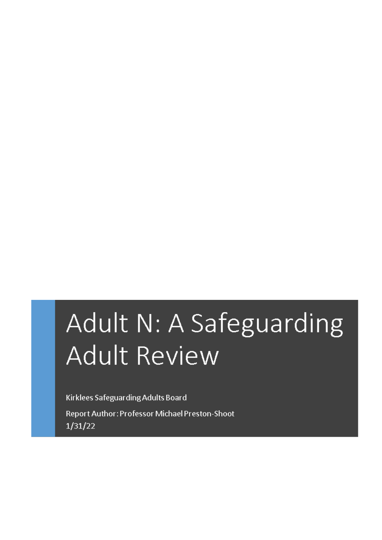# Adult N: A Safeguarding **Adult Review**

Kirklees Safeguarding Adults Board

Report Author: Professor Michael Preston-Shoot  $1/31/22$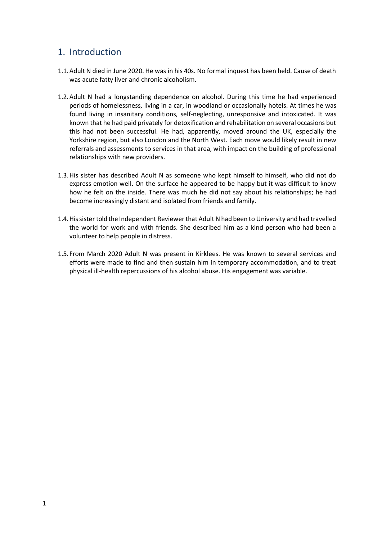## 1. Introduction

- 1.1.Adult N died in June 2020. He was in his 40s. No formal inquest has been held. Cause of death was acute fatty liver and chronic alcoholism.
- 1.2.Adult N had a longstanding dependence on alcohol. During this time he had experienced periods of homelessness, living in a car, in woodland or occasionally hotels. At times he was found living in insanitary conditions, self-neglecting, unresponsive and intoxicated. It was known that he had paid privately for detoxification and rehabilitation on several occasions but this had not been successful. He had, apparently, moved around the UK, especially the Yorkshire region, but also London and the North West. Each move would likely result in new referrals and assessments to services in that area, with impact on the building of professional relationships with new providers.
- 1.3.His sister has described Adult N as someone who kept himself to himself, who did not do express emotion well. On the surface he appeared to be happy but it was difficult to know how he felt on the inside. There was much he did not say about his relationships; he had become increasingly distant and isolated from friends and family.
- 1.4.Hissister told the Independent Reviewerthat Adult Nhad been to University and had travelled the world for work and with friends. She described him as a kind person who had been a volunteer to help people in distress.
- 1.5. From March 2020 Adult N was present in Kirklees. He was known to several services and efforts were made to find and then sustain him in temporary accommodation, and to treat physical ill-health repercussions of his alcohol abuse. His engagement was variable.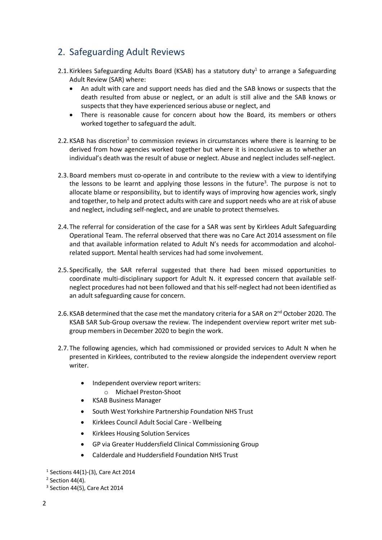# 2. Safeguarding Adult Reviews

- 2.1. Kirklees Safeguarding Adults Board (KSAB) has a statutory duty<sup>1</sup> to arrange a Safeguarding Adult Review (SAR) where:
	- An adult with care and support needs has died and the SAB knows or suspects that the death resulted from abuse or neglect, or an adult is still alive and the SAB knows or suspects that they have experienced serious abuse or neglect, and
	- There is reasonable cause for concern about how the Board, its members or others worked together to safeguard the adult.
- 2.2. KSAB has discretion<sup>2</sup> to commission reviews in circumstances where there is learning to be derived from how agencies worked together but where it is inconclusive as to whether an individual's death was the result of abuse or neglect. Abuse and neglect includes self-neglect.
- 2.3.Board members must co-operate in and contribute to the review with a view to identifying the lessons to be learnt and applying those lessons in the future<sup>3</sup>. The purpose is not to allocate blame or responsibility, but to identify ways of improving how agencies work, singly and together, to help and protect adults with care and support needs who are at risk of abuse and neglect, including self-neglect, and are unable to protect themselves.
- 2.4.The referral for consideration of the case for a SAR was sent by Kirklees Adult Safeguarding Operational Team. The referral observed that there was no Care Act 2014 assessment on file and that available information related to Adult N's needs for accommodation and alcoholrelated support. Mental health services had had some involvement.
- 2.5. Specifically, the SAR referral suggested that there had been missed opportunities to coordinate multi-disciplinary support for Adult N. it expressed concern that available selfneglect procedures had not been followed and that his self-neglect had not been identified as an adult safeguarding cause for concern.
- 2.6. KSAB determined that the case met the mandatory criteria for a SAR on 2<sup>nd</sup> October 2020. The KSAB SAR Sub-Group oversaw the review. The independent overview report writer met subgroup members in December 2020 to begin the work.
- 2.7.The following agencies, which had commissioned or provided services to Adult N when he presented in Kirklees, contributed to the review alongside the independent overview report writer.
	- Independent overview report writers:
		- o Michael Preston-Shoot
		- KSAB Business Manager
	- South West Yorkshire Partnership Foundation NHS Trust
	- Kirklees Council Adult Social Care Wellbeing
	- Kirklees Housing Solution Services
	- GP via Greater Huddersfield Clinical Commissioning Group
	- Calderdale and Huddersfield Foundation NHS Trust

<sup>1</sup> Sections 44(1)-(3), Care Act 2014

 $2$  Section 44(4).

<sup>3</sup> Section 44(5), Care Act 2014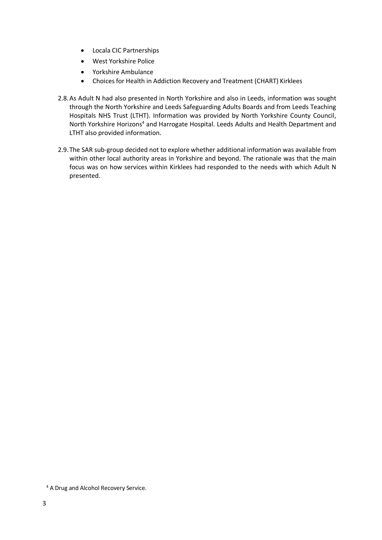- Locala CIC Partnerships
- West Yorkshire Police
- Yorkshire Ambulance
- Choices for Health in Addiction Recovery and Treatment (CHART) Kirklees
- 2.8.As Adult N had also presented in North Yorkshire and also in Leeds, information was sought through the North Yorkshire and Leeds Safeguarding Adults Boards and from Leeds Teaching Hospitals NHS Trust (LTHT). Information was provided by North Yorkshire County Council, North Yorkshire Horizons<sup>4</sup> and Harrogate Hospital. Leeds Adults and Health Department and LTHT also provided information.
- 2.9.The SAR sub-group decided not to explore whether additional information was available from within other local authority areas in Yorkshire and beyond. The rationale was that the main focus was on how services within Kirklees had responded to the needs with which Adult N presented.

<sup>4</sup> A Drug and Alcohol Recovery Service.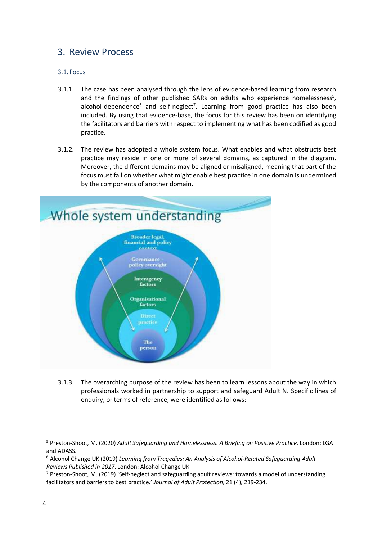## 3. Review Process

### 3.1. Focus

- 3.1.1. The case has been analysed through the lens of evidence-based learning from research and the findings of other published SARs on adults who experience homelessness<sup>5</sup>, alcohol-dependence<sup>6</sup> and self-neglect<sup>7</sup>. Learning from good practice has also been included. By using that evidence-base, the focus for this review has been on identifying the facilitators and barriers with respect to implementing what has been codified as good practice.
- 3.1.2. The review has adopted a whole system focus. What enables and what obstructs best practice may reside in one or more of several domains, as captured in the diagram. Moreover, the different domains may be aligned or misaligned, meaning that part of the focus must fall on whether what might enable best practice in one domain is undermined by the components of another domain.



3.1.3. The overarching purpose of the review has been to learn lessons about the way in which professionals worked in partnership to support and safeguard Adult N. Specific lines of enquiry, or terms of reference, were identified as follows:

<sup>5</sup> Preston-Shoot, M. (2020) *Adult Safeguarding and Homelessness. A Briefing on Positive Practice*. London: LGA and ADASS.

<sup>6</sup> Alcohol Change UK (2019) *Learning from Tragedies: An Analysis of Alcohol-Related Safeguarding Adult Reviews Published in 2017*. London: Alcohol Change UK.

 $7$  Preston-Shoot, M. (2019) 'Self-neglect and safeguarding adult reviews: towards a model of understanding facilitators and barriers to best practice.' *Journal of Adult Protection*, 21 (4), 219-234.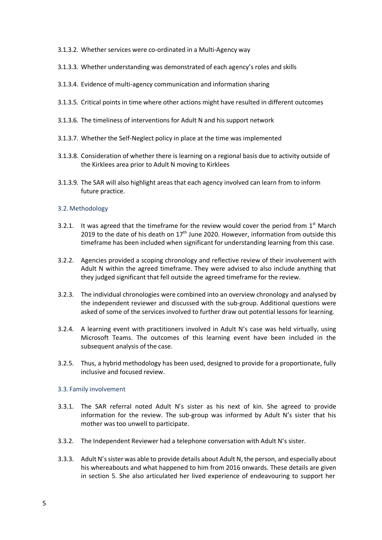- 3.1.3.2. Whether services were co-ordinated in a Multi-Agency way
- 3.1.3.3. Whether understanding was demonstrated of each agency's roles and skills
- 3.1.3.4. Evidence of multi-agency communication and information sharing
- 3.1.3.5. Critical points in time where other actions might have resulted in different outcomes
- 3.1.3.6. The timeliness of interventions for Adult N and his support network
- 3.1.3.7. Whether the Self-Neglect policy in place at the time was implemented
- 3.1.3.8. Consideration of whether there is learning on a regional basis due to activity outside of the Kirklees area prior to Adult N moving to Kirklees
- 3.1.3.9. The SAR will also highlight areas that each agency involved can learn from to inform future practice.

#### 3.2.Methodology

- 3.2.1. It was agreed that the timeframe for the review would cover the period from  $1<sup>st</sup>$  March 2019 to the date of his death on  $17<sup>th</sup>$  June 2020. However, information from outside this timeframe has been included when significant for understanding learning from this case.
- 3.2.2. Agencies provided a scoping chronology and reflective review of their involvement with Adult N within the agreed timeframe. They were advised to also include anything that they judged significant that fell outside the agreed timeframe for the review.
- 3.2.3. The individual chronologies were combined into an overview chronology and analysed by the independent reviewer and discussed with the sub-group. Additional questions were asked of some of the services involved to further draw out potential lessons for learning.
- 3.2.4. A learning event with practitioners involved in Adult N's case was held virtually, using Microsoft Teams. The outcomes of this learning event have been included in the subsequent analysis of the case.
- 3.2.5. Thus, a hybrid methodology has been used, designed to provide for a proportionate, fully inclusive and focused review.

#### 3.3. Family involvement

- 3.3.1. The SAR referral noted Adult N's sister as his next of kin. She agreed to provide information for the review. The sub-group was informed by Adult N's sister that his mother was too unwell to participate.
- 3.3.2. The Independent Reviewer had a telephone conversation with Adult N's sister.
- 3.3.3. Adult N'ssister was able to provide details about Adult N, the person, and especially about his whereabouts and what happened to him from 2016 onwards. These details are given in section 5. She also articulated her lived experience of endeavouring to support her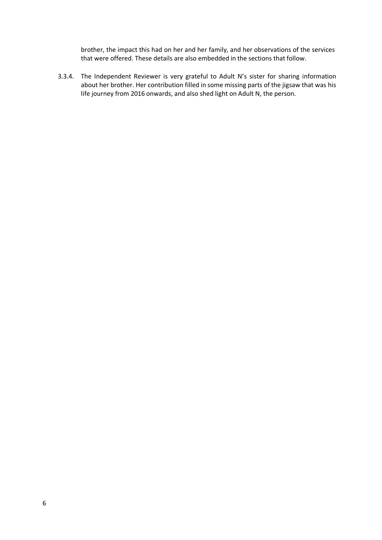brother, the impact this had on her and her family, and her observations of the services that were offered. These details are also embedded in the sections that follow.

3.3.4. The Independent Reviewer is very grateful to Adult N's sister for sharing information about her brother. Her contribution filled in some missing parts of the jigsaw that was his life journey from 2016 onwards, and also shed light on Adult N, the person.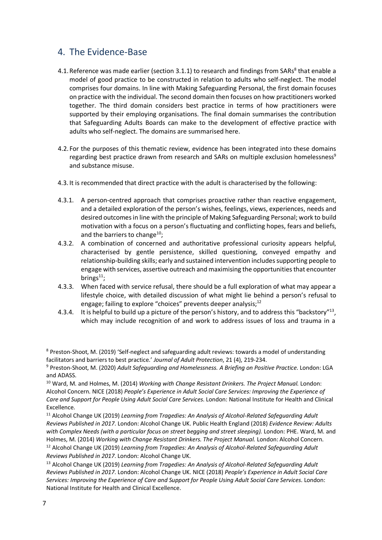## 4. The Evidence-Base

- 4.1. Reference was made earlier (section 3.1.1) to research and findings from SARs<sup>8</sup> that enable a model of good practice to be constructed in relation to adults who self-neglect. The model comprises four domains. In line with Making Safeguarding Personal, the first domain focuses on practice with the individual. The second domain then focuses on how practitioners worked together. The third domain considers best practice in terms of how practitioners were supported by their employing organisations. The final domain summarises the contribution that Safeguarding Adults Boards can make to the development of effective practice with adults who self-neglect. The domains are summarised here.
- 4.2. For the purposes of this thematic review, evidence has been integrated into these domains regarding best practice drawn from research and SARs on multiple exclusion homelessness<sup>9</sup> and substance misuse.
- 4.3. It is recommended that direct practice with the adult is characterised by the following:
- 4.3.1. A person-centred approach that comprises proactive rather than reactive engagement, and a detailed exploration of the person's wishes, feelings, views, experiences, needs and desired outcomesin line with the principle of Making Safeguarding Personal; work to build motivation with a focus on a person's fluctuating and conflicting hopes, fears and beliefs, and the barriers to change<sup>10</sup>;
- 4.3.2. A combination of concerned and authoritative professional curiosity appears helpful, characterised by gentle persistence, skilled questioning, conveyed empathy and relationship-building skills; early and sustained intervention includes supporting people to engage with services, assertive outreach and maximising the opportunities that encounter brings $^{11}$ ;
- 4.3.3. When faced with service refusal, there should be a full exploration of what may appear a lifestyle choice, with detailed discussion of what might lie behind a person's refusal to engage; failing to explore "choices" prevents deeper analysis; $^{12}$
- 4.3.4. It is helpful to build up a picture of the person's history, and to address this "backstory"<sup>13</sup>, which may include recognition of and work to address issues of loss and trauma in a

<sup>10</sup> Ward, M. and Holmes, M. (2014) *Working with Change Resistant Drinkers. The Project Manual.* London: Alcohol Concern. NICE (2018) *People's Experience in Adult Social Care Services: Improving the Experience of Care and Support for People Using Adult Social Care Services*. London: National Institute for Health and Clinical Excellence.

<sup>11</sup> Alcohol Change UK (2019) *Learning from Tragedies: An Analysis of Alcohol-Related Safeguarding Adult Reviews Published in 2017*. London: Alcohol Change UK. Public Health England (2018) *Evidence Review: Adults* with Complex Needs (with a particular focus on street begging and street sleeping). London: PHE. Ward, M. and Holmes, M. (2014) *Working with Change Resistant Drinkers. The Project Manual.* London: Alcohol Concern.

<sup>12</sup> Alcohol Change UK (2019) *Learning from Tragedies: An Analysis of Alcohol-Related Safeguarding Adult Reviews Published in 2017*. London: Alcohol Change UK.

<sup>13</sup> Alcohol Change UK (2019) *Learning from Tragedies: An Analysis of Alcohol-Related Safeguarding Adult Reviews Published in 2017*. London: Alcohol Change UK. NICE (2018) *People's Experience in Adult Social Care Services: Improving the Experience of Care and Support for People Using Adult Social Care Services*. London: National Institute for Health and Clinical Excellence.

<sup>8</sup> Preston-Shoot, M. (2019) 'Self-neglect and safeguarding adult reviews: towards a model of understanding facilitators and barriers to best practice.' *Journal of Adult Protection*, 21 (4), 219-234.

<sup>9</sup> Preston-Shoot, M. (2020) *Adult Safeguarding and Homelessness. A Briefing on Positive Practice*. London: LGA and ADASS.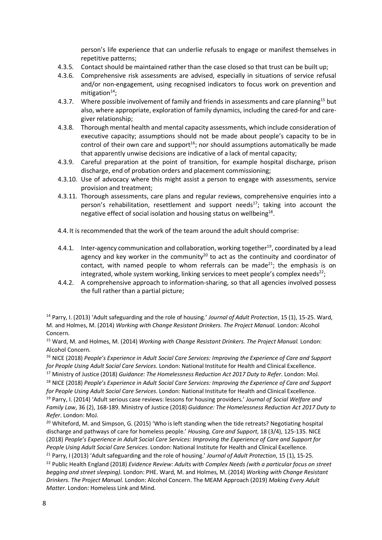person's life experience that can underlie refusals to engage or manifest themselves in repetitive patterns;

- 4.3.5. Contact should be maintained rather than the case closed so that trust can be built up;
- 4.3.6. Comprehensive risk assessments are advised, especially in situations of service refusal and/or non-engagement, using recognised indicators to focus work on prevention and mitigation $14$ ;
- 4.3.7. Where possible involvement of family and friends in assessments and care planning<sup>15</sup> but also, where appropriate, exploration of family dynamics, including the cared-for and caregiver relationship;
- 4.3.8. Thorough mental health and mental capacity assessments, which include consideration of executive capacity; assumptions should not be made about people's capacity to be in control of their own care and support $16$ ; nor should assumptions automatically be made that apparently unwise decisions are indicative of a lack of mental capacity;
- 4.3.9. Careful preparation at the point of transition, for example hospital discharge, prison discharge, end of probation orders and placement commissioning;
- 4.3.10. Use of advocacy where this might assist a person to engage with assessments, service provision and treatment;
- 4.3.11. Thorough assessments, care plans and regular reviews, comprehensive enquiries into a person's rehabilitation, resettlement and support needs $17$ ; taking into account the negative effect of social isolation and housing status on wellbeing<sup>18</sup>.
- 4.4. It is recommended that the work of the team around the adult should comprise:
- 4.4.1. Inter-agency communication and collaboration, working together<sup>19</sup>, coordinated by a lead agency and key worker in the community<sup>20</sup> to act as the continuity and coordinator of contact, with named people to whom referrals can be made<sup>21</sup>; the emphasis is on integrated, whole system working, linking services to meet people's complex needs<sup>22</sup>;
- 4.4.2. A comprehensive approach to information-sharing, so that all agencies involved possess the full rather than a partial picture;

<sup>14</sup> Parry, I. (2013) 'Adult safeguarding and the role of housing.' *Journal of Adult Protection*, 15 (1), 15-25. Ward, M. and Holmes, M. (2014) *Working with Change Resistant Drinkers. The Project Manual.* London: Alcohol Concern.

<sup>15</sup> Ward, M. and Holmes, M. (2014) *Working with Change Resistant Drinkers. The Project Manual.* London: Alcohol Concern.

<sup>16</sup> NICE (2018) *People's Experience in Adult Social Care Services: Improving the Experience of Care and Support for People Using Adult Social Care Services*. London: National Institute for Health and Clinical Excellence.

<sup>17</sup> Ministry of Justice (2018) *Guidance: The Homelessness Reduction Act 2017 Duty to Refer*. London: MoJ. <sup>18</sup> NICE (2018) *People's Experience in Adult Social Care Services: Improving the Experience of Care and Support*

*for People Using Adult Social Care Services*. London: National Institute for Health and Clinical Excellence. <sup>19</sup> Parry, I. (2014) 'Adult serious case reviews: lessons for housing providers.' *Journal of Social Welfare and*

*Family Law*, 36 (2), 168-189. Ministry of Justice (2018) *Guidance: The Homelessness Reduction Act 2017 Duty to Refer*. London: MoJ.

<sup>20</sup> Whiteford, M. and Simpson, G. (2015) 'Who is left standing when the tide retreats? Negotiating hospital discharge and pathways of care for homeless people.' *Housing, Care and Support*, 18 (3/4), 125-135. NICE (2018) *People's Experience in Adult Social Care Services: Improving the Experience of Care and Support for People Using Adult Social Care Services*. London: National Institute for Health and Clinical Excellence. <sup>21</sup> Parry, I (2013) 'Adult safeguarding and the role of housing.' *Journal of Adult Protection*, 15 (1), 15-25.

<sup>22</sup> Public Health England (2018) *Evidence Review: Adults with Complex Needs (with a particular focus on street begging and street sleeping).* London: PHE. Ward, M. and Holmes, M. (2014) *Working with Change Resistant Drinkers. The Project Manual.* London: Alcohol Concern. The MEAM Approach (2019) *Making Every Adult Matter*. London: Homeless Link and Mind.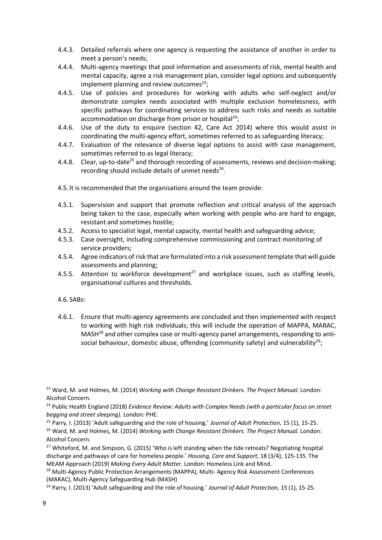- 4.4.3. Detailed referrals where one agency is requesting the assistance of another in order to meet a person's needs;
- 4.4.4. Multi-agency meetings that pool information and assessments of risk, mental health and mental capacity, agree a risk management plan, consider legal options and subsequently implement planning and review outcomes $^{23}$ ;
- 4.4.5. Use of policies and procedures for working with adults who self-neglect and/or demonstrate complex needs associated with multiple exclusion homelessness, with specific pathways for coordinating services to address such risks and needs as suitable accommodation on discharge from prison or hospital<sup>24</sup>;
- 4.4.6. Use of the duty to enquire (section 42, Care Act 2014) where this would assist in coordinating the multi-agency effort, sometimes referred to as safeguarding literacy;
- 4.4.7. Evaluation of the relevance of diverse legal options to assist with case management, sometimes referred to as legal literacy;
- 4.4.8. Clear, up-to-date<sup>25</sup> and thorough recording of assessments, reviews and decision-making; recording should include details of unmet needs<sup>26</sup>.
- 4.5. It is recommended that the organisations around the team provide:
- 4.5.1. Supervision and support that promote reflection and critical analysis of the approach being taken to the case, especially when working with people who are hard to engage, resistant and sometimes hostile;
- 4.5.2. Access to specialist legal, mental capacity, mental health and safeguarding advice;
- 4.5.3. Case oversight, including comprehensive commissioning and contract monitoring of service providers;
- 4.5.4. Agree indicators of risk that are formulated into a risk assessmenttemplate that will guide assessments and planning;
- 4.5.5. Attention to workforce development<sup>27</sup> and workplace issues, such as staffing levels. organisational cultures and thresholds.
- 4.6. SABs:
- 4.6.1. Ensure that multi-agency agreements are concluded and then implemented with respect to working with high risk individuals; this will include the operation of MAPPA, MARAC, MASH<sup>28</sup> and other complex case or multi-agency panel arrangements, responding to antisocial behaviour, domestic abuse, offending (community safety) and vulnerability<sup>29</sup>;

<sup>24</sup> Public Health England (2018) *Evidence Review: Adults with Complex Needs (with a particular focus on street begging and street sleeping).* London: PHE.

<sup>25</sup> Parry, I. (2013) 'Adult safeguarding and the role of housing.' *Journal of Adult Protection*, 15 (1), 15-25.

<sup>26</sup> Ward, M. and Holmes, M. (2014) *Working with Change Resistant Drinkers. The Project Manual.* London: Alcohol Concern.

<sup>27</sup> Whiteford, M. and Simpson, G. (2015) 'Who is left standing when the tide retreats? Negotiating hospital discharge and pathways of care for homeless people.' *Housing, Care and Support*, 18 (3/4), 125-135. The MEAM Approach (2019) *Making Every Adult Matter*. London: Homeless Link and Mind.

<sup>28</sup> Multi-Agency Public Protection Arrangements (MAPPA), Multi-Agency Risk Assessment Conferences (MARAC), Multi-Agency Safeguarding Hub (MASH)

<sup>&</sup>lt;sup>23</sup> Ward, M. and Holmes, M. (2014) *Working with Change Resistant Drinkers. The Project Manual.* London: Alcohol Concern.

<sup>29</sup> Parry, I. (2013) 'Adult safeguarding and the role of housing.' *Journal of Adult Protection*, 15 (1), 15-25.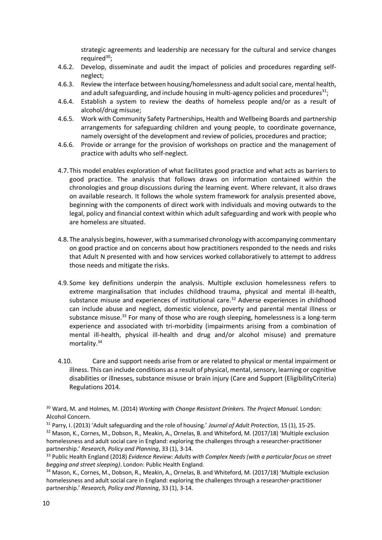strategic agreements and leadership are necessary for the cultural and service changes required $30$ :

- 4.6.2. Develop, disseminate and audit the impact of policies and procedures regarding selfneglect;
- 4.6.3. Review the interface between housing/homelessness and adultsocial care, mental health, and adult safeguarding, and include housing in multi-agency policies and procedures $^{31}$ ;
- 4.6.4. Establish a system to review the deaths of homeless people and/or as a result of alcohol/drug misuse;
- 4.6.5. Work with Community Safety Partnerships, Health and Wellbeing Boards and partnership arrangements for safeguarding children and young people, to coordinate governance, namely oversight of the development and review of policies, procedures and practice;
- 4.6.6. Provide or arrange for the provision of workshops on practice and the management of practice with adults who self-neglect.
- 4.7.This model enables exploration of what facilitates good practice and what acts as barriers to good practice. The analysis that follows draws on information contained within the chronologies and group discussions during the learning event. Where relevant, it also draws on available research. It follows the whole system framework for analysis presented above, beginning with the components of direct work with individuals and moving outwards to the legal, policy and financial context within which adult safeguarding and work with people who are homeless are situated.
- 4.8.The analysis begins, however, with a summarised chronology with accompanying commentary on good practice and on concerns about how practitioners responded to the needs and risks that Adult N presented with and how services worked collaboratively to attempt to address those needs and mitigate the risks.
- 4.9. Some key definitions underpin the analysis. Multiple exclusion homelessness refers to extreme marginalisation that includes childhood trauma, physical and mental ill-health, substance misuse and experiences of institutional care.<sup>32</sup> Adverse experiences in childhood can include abuse and neglect, domestic violence, poverty and parental mental illness or substance misuse. $33$  For many of those who are rough sleeping, homelessness is a long-term experience and associated with tri-morbidity (impairments arising from a combination of mental ill-health, physical ill-health and drug and/or alcohol misuse) and premature mortality.34
- 4.10. Care and support needs arise from or are related to physical or mental impairment or illness. This can include conditions as a result of physical, mental, sensory, learning or cognitive disabilities or illnesses, substance misuse or brain injury (Care and Support (EligibilityCriteria) Regulations 2014.

<sup>&</sup>lt;sup>30</sup> Ward, M. and Holmes, M. (2014) *Working with Change Resistant Drinkers. The Project Manual. London:* Alcohol Concern.

<sup>31</sup> Parry, I. (2013) 'Adult safeguarding and the role of housing.' *Journal of Adult Protection*, 15 (1), 15-25. <sup>32</sup> Mason, K., Cornes, M., Dobson, R., Meakin, A., Ornelas, B. and Whiteford, M. (2017/18) 'Multiple exclusion homelessness and adult social care in England: exploring the challenges through a researcher-practitioner partnership.' *Research, Policy and Planning*, 33 (1), 3-14.

<sup>33</sup> Public Health England (2018) *Evidence Review: Adults with Complex Needs (with a particular focus on street begging and street sleeping)*. London: Public Health England.

<sup>34</sup> Mason, K., Cornes, M., Dobson, R., Meakin, A., Ornelas, B. and Whiteford, M. (2017/18) 'Multiple exclusion homelessness and adult social care in England: exploring the challenges through a researcher-practitioner partnership.' *Research, Policy and Planning*, 33 (1), 3-14.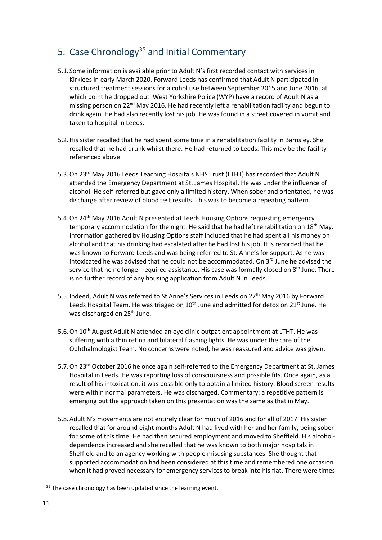# 5. Case Chronology<sup>35</sup> and Initial Commentary

- 5.1. Some information is available prior to Adult N's first recorded contact with services in Kirklees in early March 2020. Forward Leeds has confirmed that Adult N participated in structured treatment sessions for alcohol use between September 2015 and June 2016, at which point he dropped out. West Yorkshire Police (WYP) have a record of Adult N as a missing person on 22<sup>nd</sup> May 2016. He had recently left a rehabilitation facility and begun to drink again. He had also recently lost his job. He was found in a street covered in vomit and taken to hospital in Leeds.
- 5.2.His sister recalled that he had spent some time in a rehabilitation facility in Barnsley. She recalled that he had drunk whilst there. He had returned to Leeds. This may be the facility referenced above.
- 5.3. On 23<sup>rd</sup> May 2016 Leeds Teaching Hospitals NHS Trust (LTHT) has recorded that Adult N attended the Emergency Department at St. James Hospital. He was under the influence of alcohol. He self-referred but gave only a limited history. When sober and orientated, he was discharge after review of blood test results. This was to become a repeating pattern.
- 5.4. On 24<sup>th</sup> May 2016 Adult N presented at Leeds Housing Options requesting emergency temporary accommodation for the night. He said that he had left rehabilitation on  $18<sup>th</sup>$  May. Information gathered by Housing Options staff included that he had spent all his money on alcohol and that his drinking had escalated after he had lost his job. It is recorded that he was known to Forward Leeds and was being referred to St. Anne's for support. As he was intoxicated he was advised that he could not be accommodated. On  $3<sup>rd</sup>$  June he advised the service that he no longer required assistance. His case was formally closed on 8<sup>th</sup> June. There is no further record of any housing application from Adult N in Leeds.
- 5.5. Indeed, Adult N was referred to St Anne's Services in Leeds on 27<sup>th</sup> May 2016 by Forward Leeds Hospital Team. He was triaged on  $10<sup>th</sup>$  June and admitted for detox on  $21<sup>st</sup>$  June. He was discharged on 25<sup>th</sup> June.
- 5.6. On 10<sup>th</sup> August Adult N attended an eye clinic outpatient appointment at LTHT. He was suffering with a thin retina and bilateral flashing lights. He was under the care of the Ophthalmologist Team. No concerns were noted, he was reassured and advice was given.
- 5.7. On 23<sup>rd</sup> October 2016 he once again self-referred to the Emergency Department at St. James Hospital in Leeds. He was reporting loss of consciousness and possible fits. Once again, as a result of his intoxication, it was possible only to obtain a limited history. Blood screen results were within normal parameters. He was discharged. Commentary: a repetitive pattern is emerging but the approach taken on this presentation was the same as that in May.
- 5.8.Adult N's movements are not entirely clear for much of 2016 and for all of 2017. His sister recalled that for around eight months Adult N had lived with her and her family, being sober for some of this time. He had then secured employment and moved to Sheffield. His alcoholdependence increased and she recalled that he was known to both major hospitals in Sheffield and to an agency working with people misusing substances. She thought that supported accommodation had been considered at this time and remembered one occasion when it had proved necessary for emergency services to break into his flat. There were times

 $35$  The case chronology has been updated since the learning event.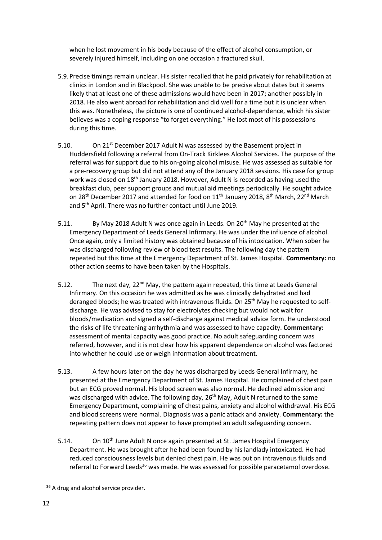when he lost movement in his body because of the effect of alcohol consumption, or severely injured himself, including on one occasion a fractured skull.

- 5.9.Precise timings remain unclear. His sister recalled that he paid privately for rehabilitation at clinics in London and in Blackpool. She was unable to be precise about dates but it seems likely that at least one of these admissions would have been in 2017; another possibly in 2018. He also went abroad for rehabilitation and did well for a time but it is unclear when this was. Nonetheless, the picture is one of continued alcohol-dependence, which his sister believes was a coping response "to forget everything." He lost most of his possessions during this time.
- 5.10. On 21<sup>st</sup> December 2017 Adult N was assessed by the Basement project in Huddersfield following a referral from On-Track Kirklees Alcohol Services. The purpose of the referral was for support due to his on-going alcohol misuse. He was assessed as suitable for a pre-recovery group but did not attend any of the January 2018 sessions. His case for group work was closed on 18<sup>th</sup> January 2018. However, Adult N is recorded as having used the breakfast club, peer support groups and mutual aid meetings periodically. He sought advice on 28<sup>th</sup> December 2017 and attended for food on 11<sup>th</sup> January 2018, 8<sup>th</sup> March, 22<sup>nd</sup> March and 5th April. There was no further contact until June 2019.
- 5.11. By May 2018 Adult N was once again in Leeds. On 20<sup>th</sup> May he presented at the Emergency Department of Leeds General Infirmary. He was under the influence of alcohol. Once again, only a limited history was obtained because of his intoxication. When sober he was discharged following review of blood test results. The following day the pattern repeated but this time at the Emergency Department of St. James Hospital. **Commentary:** no other action seems to have been taken by the Hospitals.
- 5.12. The next day,  $22^{nd}$  May, the pattern again repeated, this time at Leeds General Infirmary. On this occasion he was admitted as he was clinically dehydrated and had deranged bloods; he was treated with intravenous fluids. On 25<sup>th</sup> May he requested to selfdischarge. He was advised to stay for electrolytes checking but would not wait for bloods/medication and signed a self-discharge against medical advice form. He understood the risks of life threatening arrhythmia and was assessed to have capacity. **Commentary:** assessment of mental capacity was good practice. No adult safeguarding concern was referred, however, and it is not clear how his apparent dependence on alcohol was factored into whether he could use or weigh information about treatment.
- 5.13. A few hours later on the day he was discharged by Leeds General Infirmary, he presented at the Emergency Department of St. James Hospital. He complained of chest pain but an ECG proved normal. His blood screen was also normal. He declined admission and was discharged with advice. The following day, 26<sup>th</sup> May, Adult N returned to the same Emergency Department, complaining of chest pains, anxiety and alcohol withdrawal. His ECG and blood screens were normal. Diagnosis was a panic attack and anxiety. **Commentary:** the repeating pattern does not appear to have prompted an adult safeguarding concern.
- 5.14. On 10<sup>th</sup> June Adult N once again presented at St. James Hospital Emergency Department. He was brought after he had been found by his landlady intoxicated. He had reduced consciousness levels but denied chest pain. He was put on intravenous fluids and referral to Forward Leeds<sup>36</sup> was made. He was assessed for possible paracetamol overdose.

<sup>&</sup>lt;sup>36</sup> A drug and alcohol service provider.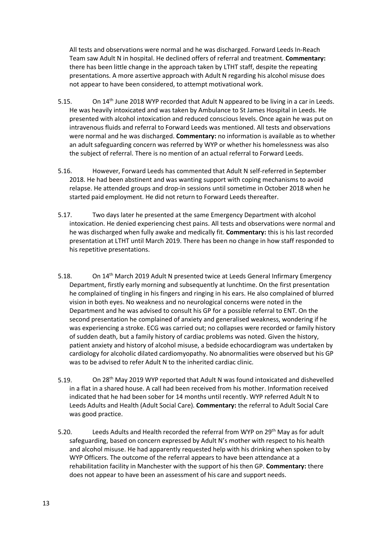All tests and observations were normal and he was discharged. Forward Leeds In-Reach Team saw Adult N in hospital. He declined offers of referral and treatment. **Commentary:** there has been little change in the approach taken by LTHT staff, despite the repeating presentations. A more assertive approach with Adult N regarding his alcohol misuse does not appear to have been considered, to attempt motivational work.

- 5.15. On 14<sup>th</sup> June 2018 WYP recorded that Adult N appeared to be living in a car in Leeds. He was heavily intoxicated and was taken by Ambulance to St James Hospital in Leeds. He presented with alcohol intoxication and reduced conscious levels. Once again he was put on intravenous fluids and referral to Forward Leeds was mentioned. All tests and observations were normal and he was discharged. **Commentary:** no information is available as to whether an adult safeguarding concern was referred by WYP or whether his homelessness was also the subject of referral. There is no mention of an actual referral to Forward Leeds.
- 5.16. However, Forward Leeds has commented that Adult N self-referred in September 2018. He had been abstinent and was wanting support with coping mechanisms to avoid relapse. He attended groups and drop-in sessions until sometime in October 2018 when he started paid employment. He did not return to Forward Leeds thereafter.
- 5.17. Two days later he presented at the same Emergency Department with alcohol intoxication. He denied experiencing chest pains. All tests and observations were normal and he was discharged when fully awake and medically fit. **Commentary:** this is his last recorded presentation at LTHT until March 2019. There has been no change in how staff responded to his repetitive presentations.
- 5.18. On 14<sup>th</sup> March 2019 Adult N presented twice at Leeds General Infirmary Emergency Department, firstly early morning and subsequently at lunchtime. On the first presentation he complained of tingling in his fingers and ringing in his ears. He also complained of blurred vision in both eyes. No weakness and no neurological concerns were noted in the Department and he was advised to consult his GP for a possible referral to ENT. On the second presentation he complained of anxiety and generalised weakness, wondering if he was experiencing a stroke. ECG was carried out; no collapses were recorded or family history of sudden death, but a family history of cardiac problems was noted. Given the history, patient anxiety and history of alcohol misuse, a bedside echocardiogram was undertaken by cardiology for alcoholic dilated cardiomyopathy. No abnormalities were observed but his GP was to be advised to refer Adult N to the inherited cardiac clinic.
- 5.19. On 28<sup>th</sup> May 2019 WYP reported that Adult N was found intoxicated and dishevelled in a flat in a shared house. A call had been received from his mother. Information received indicated that he had been sober for 14 months until recently. WYP referred Adult N to Leeds Adults and Health (Adult Social Care). **Commentary:** the referral to Adult Social Care was good practice.
- 5.20. Leeds Adults and Health recorded the referral from WYP on 29th May as for adult safeguarding, based on concern expressed by Adult N's mother with respect to his health and alcohol misuse. He had apparently requested help with his drinking when spoken to by WYP Officers. The outcome of the referral appears to have been attendance at a rehabilitation facility in Manchester with the support of his then GP. **Commentary:** there does not appear to have been an assessment of his care and support needs.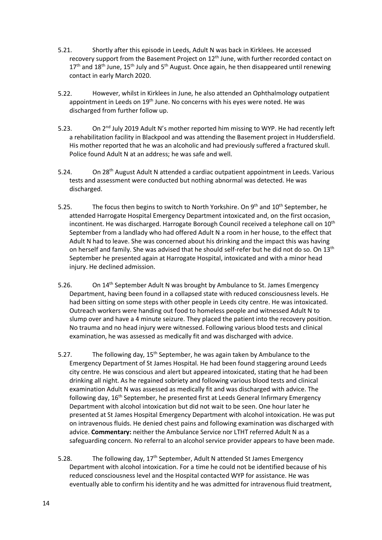- 5.21. Shortly after this episode in Leeds, Adult N was back in Kirklees. He accessed recovery support from the Basement Project on 12<sup>th</sup> June, with further recorded contact on  $17<sup>th</sup>$  and  $18<sup>th</sup>$  June,  $15<sup>th</sup>$  July and  $5<sup>th</sup>$  August. Once again, he then disappeared until renewing contact in early March 2020.
- 5.22. However, whilst in Kirklees in June, he also attended an Ophthalmology outpatient appointment in Leeds on 19<sup>th</sup> June. No concerns with his eyes were noted. He was discharged from further follow up.
- 5.23. On  $2<sup>nd</sup>$  July 2019 Adult N's mother reported him missing to WYP. He had recently left a rehabilitation facility in Blackpool and was attending the Basement project in Huddersfield. His mother reported that he was an alcoholic and had previously suffered a fractured skull. Police found Adult N at an address; he was safe and well.
- 5.24. On 28<sup>th</sup> August Adult N attended a cardiac outpatient appointment in Leeds. Various tests and assessment were conducted but nothing abnormal was detected. He was discharged.
- 5.25. The focus then begins to switch to North Yorkshire. On  $9<sup>th</sup>$  and  $10<sup>th</sup>$  September, he attended Harrogate Hospital Emergency Department intoxicated and, on the first occasion, incontinent. He was discharged. Harrogate Borough Council received a telephone call on 10<sup>th</sup> September from a landlady who had offered Adult N a room in her house, to the effect that Adult N had to leave. She was concerned about his drinking and the impact this was having on herself and family. She was advised that he should self-refer but he did not do so. On 13th September he presented again at Harrogate Hospital, intoxicated and with a minor head injury. He declined admission.
- 5.26. On 14<sup>th</sup> September Adult N was brought by Ambulance to St. James Emergency Department, having been found in a collapsed state with reduced consciousness levels. He had been sitting on some steps with other people in Leeds city centre. He was intoxicated. Outreach workers were handing out food to homeless people and witnessed Adult N to slump over and have a 4 minute seizure. They placed the patient into the recovery position. No trauma and no head injury were witnessed. Following various blood tests and clinical examination, he was assessed as medically fit and was discharged with advice.
- 5.27. The following day,  $15^{th}$  September, he was again taken by Ambulance to the Emergency Department of St James Hospital. He had been found staggering around Leeds city centre. He was conscious and alert but appeared intoxicated, stating that he had been drinking all night. As he regained sobriety and following various blood tests and clinical examination Adult N was assessed as medically fit and was discharged with advice. The following day, 16th September, he presented first at Leeds General Infirmary Emergency Department with alcohol intoxication but did not wait to be seen. One hour later he presented at St James Hospital Emergency Department with alcohol intoxication. He was put on intravenous fluids. He denied chest pains and following examination was discharged with advice. **Commentary:** neither the Ambulance Service nor LTHT referred Adult N as a safeguarding concern. No referral to an alcohol service provider appears to have been made.
- 5.28. The following day,  $17<sup>th</sup>$  September, Adult N attended St James Emergency Department with alcohol intoxication. For a time he could not be identified because of his reduced consciousness level and the Hospital contacted WYP for assistance. He was eventually able to confirm his identity and he was admitted for intravenous fluid treatment,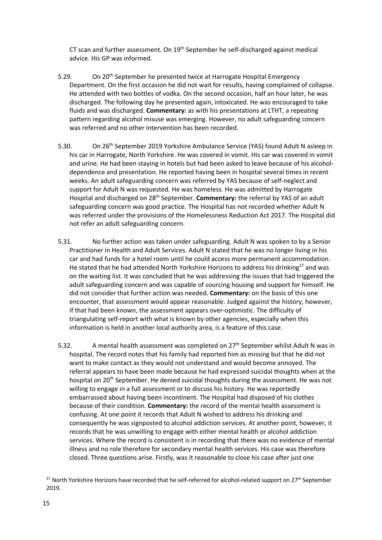CT scan and further assessment. On 19<sup>th</sup> September he self-discharged against medical advice. His GP was informed.

- 5.29. On 20<sup>th</sup> September he presented twice at Harrogate Hospital Emergency Department. On the first occasion he did not wait for results, having complained of collapse. He attended with two bottles of vodka. On the second occasion, half an hour later, he was discharged. The following day he presented again, intoxicated. He was encouraged to take fluids and was discharged. **Commentary:** as with his presentations at LTHT, a repeating pattern regarding alcohol misuse was emerging. However, no adult safeguarding concern was referred and no other intervention has been recorded.
- 5.30. On 26<sup>th</sup> September 2019 Yorkshire Ambulance Service (YAS) found Adult N asleep in his car in Harrogate, North Yorkshire. He was covered in vomit. His car was covered in vomit and urine. He had been staying in hotels but had been asked to leave because of his alcoholdependence and presentation. He reported having been in hospital several times in recent weeks. An adult safeguarding concern was referred by YAS because of self-neglect and support for Adult N was requested. He was homeless. He was admitted by Harrogate Hospital and discharged on 28th September. **Commentary:** the referral by YAS of an adult safeguarding concern was good practice. The Hospital has not recorded whether Adult N was referred under the provisions of the Homelessness Reduction Act 2017. The Hospital did not refer an adult safeguarding concern.
- 5.31. No further action was taken under safeguarding. Adult N was spoken to by a Senior Practitioner in Health and Adult Services. Adult N stated that he was no longer living in his car and had funds for a hotel room until he could access more permanent accommodation. He stated that he had attended North Yorkshire Horizons to address his drinking<sup>37</sup> and was on the waiting list. It was concluded that he was addressing the issues that had triggered the adult safeguarding concern and was capable of sourcing housing and support for himself. He did not consider that further action was needed. **Commentary:** on the basis of this one encounter, that assessment would appear reasonable. Judged against the history, however, if that had been known, the assessment appears over-optimistic. The difficulty of triangulating self-report with what is known by other agencies, especially when this information is held in another local authority area, is a feature of this case.
- 5.32. A mental health assessment was completed on 27<sup>th</sup> September whilst Adult N was in hospital. The record notes that his family had reported him as missing but that he did not want to make contact as they would not understand and would become annoyed. The referral appears to have been made because he had expressed suicidal thoughts when at the hospital on 20<sup>th</sup> September. He denied suicidal thoughts during the assessment. He was not willing to engage in a full assessment or to discuss his history. He was reportedly embarrassed about having been incontinent. The Hospital had disposed of his clothes because of their condition. **Commentary:** the record of the mental health assessment is confusing. At one point it records that Adult N wished to address his drinking and consequently he was signposted to alcohol addiction services. At another point, however, it records that he was unwilling to engage with either mental health or alcohol addiction services. Where the record is consistent is in recording that there was no evidence of mental illness and no role therefore for secondary mental health services. His case was therefore closed. Three questions arise. Firstly, was it reasonable to close his case after just one

<sup>&</sup>lt;sup>37</sup> North Yorkshire Horizons have recorded that he self-referred for alcohol-related support on 27<sup>th</sup> September 2019.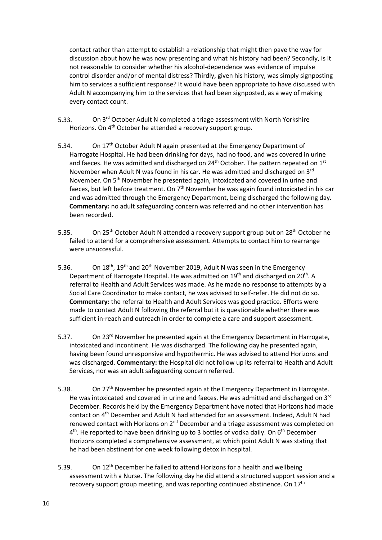contact rather than attempt to establish a relationship that might then pave the way for discussion about how he was now presenting and what his history had been? Secondly, is it not reasonable to consider whether his alcohol-dependence was evidence of impulse control disorder and/or of mental distress? Thirdly, given his history, was simply signposting him to services a sufficient response? It would have been appropriate to have discussed with Adult N accompanying him to the services that had been signposted, as a way of making every contact count.

- 5.33. On 3<sup>rd</sup> October Adult N completed a triage assessment with North Yorkshire Horizons. On 4<sup>th</sup> October he attended a recovery support group.
- 5.34. On 17<sup>th</sup> October Adult N again presented at the Emergency Department of Harrogate Hospital. He had been drinking for days, had no food, and was covered in urine and faeces. He was admitted and discharged on  $24<sup>th</sup>$  October. The pattern repeated on  $1<sup>st</sup>$ November when Adult N was found in his car. He was admitted and discharged on 3rd November. On 5<sup>th</sup> November he presented again, intoxicated and covered in urine and faeces, but left before treatment. On  $7<sup>th</sup>$  November he was again found intoxicated in his car and was admitted through the Emergency Department, being discharged the following day. **Commentary:** no adult safeguarding concern was referred and no other intervention has been recorded.
- 5.35. On 25<sup>th</sup> October Adult N attended a recovery support group but on 28<sup>th</sup> October he failed to attend for a comprehensive assessment. Attempts to contact him to rearrange were unsuccessful.
- 5.36. On 18<sup>th</sup>, 19<sup>th</sup> and 20<sup>th</sup> November 2019, Adult N was seen in the Emergency Department of Harrogate Hospital. He was admitted on 19<sup>th</sup> and discharged on 20<sup>th</sup>. A referral to Health and Adult Services was made. As he made no response to attempts by a Social Care Coordinator to make contact, he was advised to self-refer. He did not do so. **Commentary:** the referral to Health and Adult Services was good practice. Efforts were made to contact Adult N following the referral but it is questionable whether there was sufficient in-reach and outreach in order to complete a care and support assessment.
- 5.37. On 23<sup>rd</sup> November he presented again at the Emergency Department in Harrogate, intoxicated and incontinent. He was discharged. The following day he presented again, having been found unresponsive and hypothermic. He was advised to attend Horizons and was discharged. **Commentary:** the Hospital did not follow up its referral to Health and Adult Services, nor was an adult safeguarding concern referred.
- 5.38. On 27<sup>th</sup> November he presented again at the Emergency Department in Harrogate. He was intoxicated and covered in urine and faeces. He was admitted and discharged on  $3^{rd}$ December. Records held by the Emergency Department have noted that Horizons had made contact on 4th December and Adult N had attended for an assessment. Indeed, Adult N had renewed contact with Horizons on 2<sup>nd</sup> December and a triage assessment was completed on 4<sup>th</sup>. He reported to have been drinking up to 3 bottles of vodka daily. On 6<sup>th</sup> December Horizons completed a comprehensive assessment, at which point Adult N was stating that he had been abstinent for one week following detox in hospital.
- 5.39. On 12<sup>th</sup> December he failed to attend Horizons for a health and wellbeing assessment with a Nurse. The following day he did attend a structured support session and a recovery support group meeting, and was reporting continued abstinence. On 17<sup>th</sup>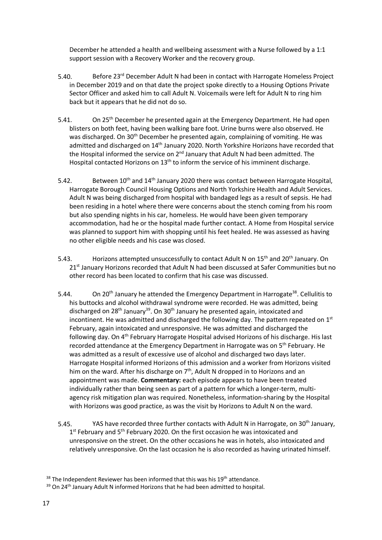December he attended a health and wellbeing assessment with a Nurse followed by a 1:1 support session with a Recovery Worker and the recovery group.

- 5.40. Before 23<sup>rd</sup> December Adult N had been in contact with Harrogate Homeless Project in December 2019 and on that date the project spoke directly to a Housing Options Private Sector Officer and asked him to call Adult N. Voicemails were left for Adult N to ring him back but it appears that he did not do so.
- 5.41. On 25<sup>th</sup> December he presented again at the Emergency Department. He had open blisters on both feet, having been walking bare foot. Urine burns were also observed. He was discharged. On 30<sup>th</sup> December he presented again, complaining of vomiting. He was admitted and discharged on 14<sup>th</sup> January 2020. North Yorkshire Horizons have recorded that the Hospital informed the service on 2<sup>nd</sup> January that Adult N had been admitted. The Hospital contacted Horizons on 13<sup>th</sup> to inform the service of his imminent discharge.
- 5.42. Between  $10^{th}$  and  $14^{th}$  January 2020 there was contact between Harrogate Hospital, Harrogate Borough Council Housing Options and North Yorkshire Health and Adult Services. Adult N was being discharged from hospital with bandaged legs as a result of sepsis. He had been residing in a hotel where there were concerns about the stench coming from his room but also spending nights in his car, homeless. He would have been given temporary accommodation, had he or the hospital made further contact. A Home from Hospital service was planned to support him with shopping until his feet healed. He was assessed as having no other eligible needs and his case was closed.
- 5.43. Horizons attempted unsuccessfully to contact Adult N on 15<sup>th</sup> and 20<sup>th</sup> January. On  $21<sup>st</sup>$  January Horizons recorded that Adult N had been discussed at Safer Communities but no other record has been located to confirm that his case was discussed.
- 5.44. On 20<sup>th</sup> January he attended the Emergency Department in Harrogate<sup>38</sup>. Cellulitis to his buttocks and alcohol withdrawal syndrome were recorded. He was admitted, being discharged on  $28<sup>th</sup>$  January<sup>39</sup>. On  $30<sup>th</sup>$  January he presented again, intoxicated and incontinent. He was admitted and discharged the following day. The pattern repeated on  $1<sup>st</sup>$ February, again intoxicated and unresponsive. He was admitted and discharged the following day. On 4th February Harrogate Hospital advised Horizons of his discharge. His last recorded attendance at the Emergency Department in Harrogate was on 5<sup>th</sup> February. He was admitted as a result of excessive use of alcohol and discharged two days later. Harrogate Hospital informed Horizons of this admission and a worker from Horizons visited him on the ward. After his discharge on 7<sup>th</sup>, Adult N dropped in to Horizons and an appointment was made. **Commentary:** each episode appears to have been treated individually rather than being seen as part of a pattern for which a longer-term, multiagency risk mitigation plan was required. Nonetheless, information-sharing by the Hospital with Horizons was good practice, as was the visit by Horizons to Adult N on the ward.
- 5.45. YAS have recorded three further contacts with Adult N in Harrogate, on 30<sup>th</sup> January, 1<sup>st</sup> February and 5<sup>th</sup> February 2020. On the first occasion he was intoxicated and unresponsive on the street. On the other occasions he was in hotels, also intoxicated and relatively unresponsive. On the last occasion he is also recorded as having urinated himself.

 $38$  The Independent Reviewer has been informed that this was his 19<sup>th</sup> attendance.

 $39$  On 24<sup>th</sup> January Adult N informed Horizons that he had been admitted to hospital.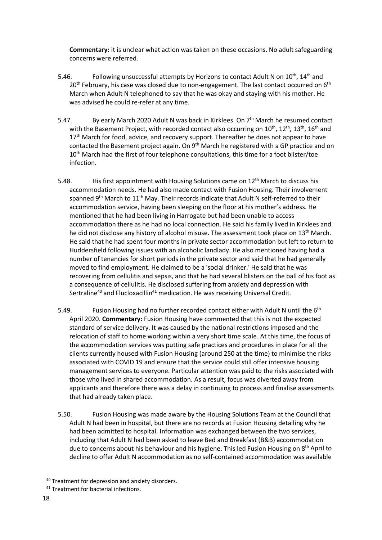**Commentary:** it is unclear what action was taken on these occasions. No adult safeguarding concerns were referred.

- 5.46. Following unsuccessful attempts by Horizons to contact Adult N on  $10^{th}$ ,  $14^{th}$  and  $20<sup>th</sup>$  February, his case was closed due to non-engagement. The last contact occurred on  $6<sup>th</sup>$ March when Adult N telephoned to say that he was okay and staying with his mother. He was advised he could re-refer at any time.
- 5.47. By early March 2020 Adult N was back in Kirklees. On 7<sup>th</sup> March he resumed contact with the Basement Project, with recorded contact also occurring on 10<sup>th</sup>, 12<sup>th</sup>, 13<sup>th</sup>, 16<sup>th</sup> and  $17<sup>th</sup>$  March for food, advice, and recovery support. Thereafter he does not appear to have contacted the Basement project again. On 9<sup>th</sup> March he registered with a GP practice and on 10<sup>th</sup> March had the first of four telephone consultations, this time for a foot blister/toe infection.
- 5.48. His first appointment with Housing Solutions came on 12<sup>th</sup> March to discuss his accommodation needs. He had also made contact with Fusion Housing. Their involvement spanned 9<sup>th</sup> March to 11<sup>th</sup> May. Their records indicate that Adult N self-referred to their accommodation service, having been sleeping on the floor at his mother's address. He mentioned that he had been living in Harrogate but had been unable to access accommodation there as he had no local connection. He said his family lived in Kirklees and he did not disclose any history of alcohol misuse. The assessment took place on 13<sup>th</sup> March. He said that he had spent four months in private sector accommodation but left to return to Huddersfield following issues with an alcoholic landlady. He also mentioned having had a number of tenancies for short periods in the private sector and said that he had generally moved to find employment. He claimed to be a 'social drinker.' He said that he was recovering from cellulitis and sepsis, and that he had several blisters on the ball of his foot as a consequence of cellulitis. He disclosed suffering from anxiety and depression with Sertraline<sup>40</sup> and Flucloxacillin<sup>41</sup> medication. He was receiving Universal Credit.
- 5.49. Fusion Housing had no further recorded contact either with Adult N until the 6<sup>th</sup> April 2020. **Commentary:** Fusion Housing have commented that this is not the expected standard of service delivery. It was caused by the national restrictions imposed and the relocation of staff to home working within a very short time scale. At this time, the focus of the accommodation services was putting safe practices and procedures in place for all the clients currently housed with Fusion Housing (around 250 at the time) to minimise the risks associated with COVID 19 and ensure that the service could still offer intensive housing management services to everyone. Particular attention was paid to the risks associated with those who lived in shared accommodation. As a result, focus was diverted away from applicants and therefore there was a delay in continuing to process and finalise assessments that had already taken place.
- 5.50. Fusion Housing was made aware by the Housing Solutions Team at the Council that Adult N had been in hospital, but there are no records at Fusion Housing detailing why he had been admitted to hospital. Information was exchanged between the two services, including that Adult N had been asked to leave Bed and Breakfast (B&B) accommodation due to concerns about his behaviour and his hygiene. This led Fusion Housing on  $8<sup>th</sup>$  April to decline to offer Adult N accommodation as no self-contained accommodation was available

<sup>40</sup> Treatment for depression and anxiety disorders.

<sup>&</sup>lt;sup>41</sup> Treatment for bacterial infections.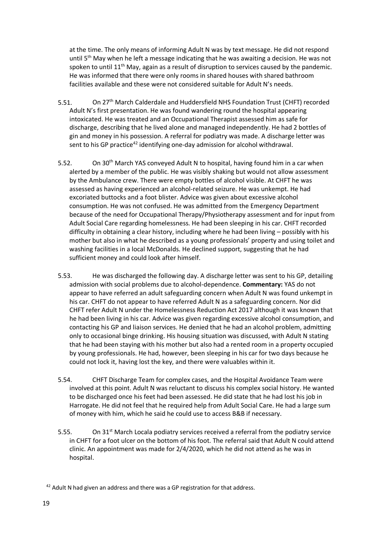at the time. The only means of informing Adult N was by text message. He did not respond until  $5<sup>th</sup>$  May when he left a message indicating that he was awaiting a decision. He was not spoken to until  $11<sup>th</sup>$  May, again as a result of disruption to services caused by the pandemic. He was informed that there were only rooms in shared houses with shared bathroom facilities available and these were not considered suitable for Adult N's needs.

- 5.51. On 27<sup>th</sup> March Calderdale and Huddersfield NHS Foundation Trust (CHFT) recorded Adult N's first presentation. He was found wandering round the hospital appearing intoxicated. He was treated and an Occupational Therapist assessed him as safe for discharge, describing that he lived alone and managed independently. He had 2 bottles of gin and money in his possession. A referral for podiatry was made. A discharge letter was sent to his GP practice<sup>42</sup> identifying one-day admission for alcohol withdrawal.
- 5.52. On 30<sup>th</sup> March YAS conveyed Adult N to hospital, having found him in a car when alerted by a member of the public. He was visibly shaking but would not allow assessment by the Ambulance crew. There were empty bottles of alcohol visible. At CHFT he was assessed as having experienced an alcohol-related seizure. He was unkempt. He had excoriated buttocks and a foot blister. Advice was given about excessive alcohol consumption. He was not confused. He was admitted from the Emergency Department because of the need for Occupational Therapy/Physiotherapy assessment and for input from Adult Social Care regarding homelessness. He had been sleeping in his car. CHFT recorded difficulty in obtaining a clear history, including where he had been living – possibly with his mother but also in what he described as a young professionals' property and using toilet and washing facilities in a local McDonalds. He declined support, suggesting that he had sufficient money and could look after himself.
- 5.53. He was discharged the following day. A discharge letter was sent to his GP, detailing admission with social problems due to alcohol-dependence. **Commentary:** YAS do not appear to have referred an adult safeguarding concern when Adult N was found unkempt in his car. CHFT do not appear to have referred Adult N as a safeguarding concern. Nor did CHFT refer Adult N under the Homelessness Reduction Act 2017 although it was known that he had been living in his car. Advice was given regarding excessive alcohol consumption, and contacting his GP and liaison services. He denied that he had an alcohol problem, admitting only to occasional binge drinking. His housing situation was discussed, with Adult N stating that he had been staying with his mother but also had a rented room in a property occupied by young professionals. He had, however, been sleeping in his car for two days because he could not lock it, having lost the key, and there were valuables within it.
- 5.54. CHFT Discharge Team for complex cases, and the Hospital Avoidance Team were involved at this point. Adult N was reluctant to discuss his complex social history. He wanted to be discharged once his feet had been assessed. He did state that he had lost his job in Harrogate. He did not feel that he required help from Adult Social Care. He had a large sum of money with him, which he said he could use to access B&B if necessary.
- 5.55. On 31<sup>st</sup> March Locala podiatry services received a referral from the podiatry service in CHFT for a foot ulcer on the bottom of his foot. The referral said that Adult N could attend clinic. An appointment was made for 2/4/2020, which he did not attend as he was in hospital.

 $42$  Adult N had given an address and there was a GP registration for that address.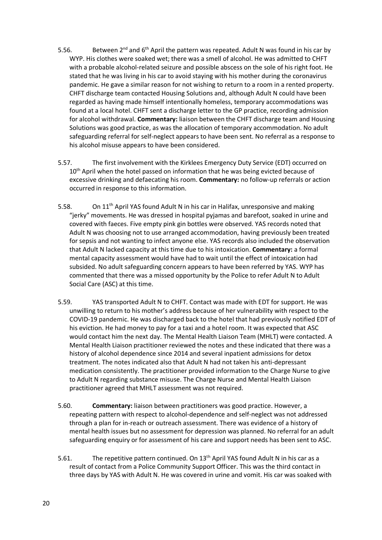- 5.56. Between  $2^{nd}$  and  $6^{th}$  April the pattern was repeated. Adult N was found in his car by WYP. His clothes were soaked wet; there was a smell of alcohol. He was admitted to CHFT with a probable alcohol-related seizure and possible abscess on the sole of his right foot. He stated that he was living in his car to avoid staying with his mother during the coronavirus pandemic. He gave a similar reason for not wishing to return to a room in a rented property. CHFT discharge team contacted Housing Solutions and, although Adult N could have been regarded as having made himself intentionally homeless, temporary accommodations was found at a local hotel. CHFT sent a discharge letter to the GP practice, recording admission for alcohol withdrawal. **Commentary:** liaison between the CHFT discharge team and Housing Solutions was good practice, as was the allocation of temporary accommodation. No adult safeguarding referral for self-neglect appears to have been sent. No referral as a response to his alcohol misuse appears to have been considered.
- 5.57. The first involvement with the Kirklees Emergency Duty Service (EDT) occurred on 10<sup>th</sup> April when the hotel passed on information that he was being evicted because of excessive drinking and defaecating his room. **Commentary:** no follow-up referrals or action occurred in response to this information.
- 5.58. On 11<sup>th</sup> April YAS found Adult N in his car in Halifax, unresponsive and making "jerky" movements. He was dressed in hospital pyjamas and barefoot, soaked in urine and covered with faeces. Five empty pink gin bottles were observed. YAS records noted that Adult N was choosing not to use arranged accommodation, having previously been treated for sepsis and not wanting to infect anyone else. YAS records also included the observation that Adult N lacked capacity at this time due to his intoxication. **Commentary:** a formal mental capacity assessment would have had to wait until the effect of intoxication had subsided. No adult safeguarding concern appears to have been referred by YAS. WYP has commented that there was a missed opportunity by the Police to refer Adult N to Adult Social Care (ASC) at this time.
- 5.59. YAS transported Adult N to CHFT. Contact was made with EDT for support. He was unwilling to return to his mother's address because of her vulnerability with respect to the COVID-19 pandemic. He was discharged back to the hotel that had previously notified EDT of his eviction. He had money to pay for a taxi and a hotel room. It was expected that ASC would contact him the next day. The Mental Health Liaison Team (MHLT) were contacted. A Mental Health Liaison practitioner reviewed the notes and these indicated that there was a history of alcohol dependence since 2014 and several inpatient admissions for detox treatment. The notes indicated also that Adult N had not taken his anti-depressant medication consistently. The practitioner provided information to the Charge Nurse to give to Adult N regarding substance misuse. The Charge Nurse and Mental Health Liaison practitioner agreed that MHLT assessment was not required.
- 5.60. **Commentary:** liaison between practitioners was good practice. However, a repeating pattern with respect to alcohol-dependence and self-neglect was not addressed through a plan for in-reach or outreach assessment. There was evidence of a history of mental health issues but no assessment for depression was planned. No referral for an adult safeguarding enquiry or for assessment of his care and support needs has been sent to ASC.
- 5.61. The repetitive pattern continued. On 13<sup>th</sup> April YAS found Adult N in his car as a result of contact from a Police Community Support Officer. This was the third contact in three days by YAS with Adult N. He was covered in urine and vomit. His car was soaked with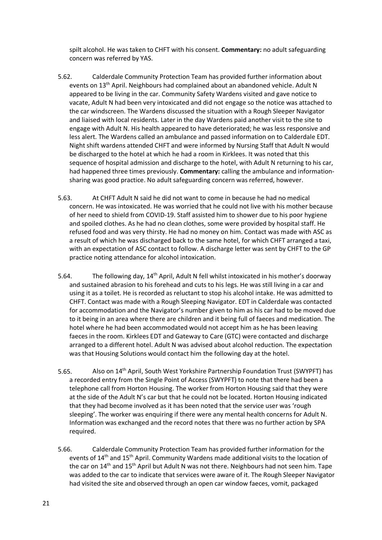spilt alcohol. He was taken to CHFT with his consent. **Commentary:** no adult safeguarding concern was referred by YAS.

- 5.62. Calderdale Community Protection Team has provided further information about events on 13th April. Neighbours had complained about an abandoned vehicle. Adult N appeared to be living in the car. Community Safety Wardens visited and gave notice to vacate, Adult N had been very intoxicated and did not engage so the notice was attached to the car windscreen. The Wardens discussed the situation with a Rough Sleeper Navigator and liaised with local residents. Later in the day Wardens paid another visit to the site to engage with Adult N. His health appeared to have deteriorated; he was less responsive and less alert. The Wardens called an ambulance and passed information on to Calderdale EDT. Night shift wardens attended CHFT and were informed by Nursing Staff that Adult N would be discharged to the hotel at which he had a room in Kirklees. It was noted that this sequence of hospital admission and discharge to the hotel, with Adult N returning to his car, had happened three times previously. **Commentary:** calling the ambulance and informationsharing was good practice. No adult safeguarding concern was referred, however.
- 5.63. At CHFT Adult N said he did not want to come in because he had no medical concern. He was intoxicated. He was worried that he could not live with his mother because of her need to shield from COVID-19. Staff assisted him to shower due to his poor hygiene and spoiled clothes. As he had no clean clothes, some were provided by hospital staff. He refused food and was very thirsty. He had no money on him. Contact was made with ASC as a result of which he was discharged back to the same hotel, for which CHFT arranged a taxi, with an expectation of ASC contact to follow. A discharge letter was sent by CHFT to the GP practice noting attendance for alcohol intoxication.
- 5.64. The following day, 14th April, Adult N fell whilst intoxicated in his mother's doorway and sustained abrasion to his forehead and cuts to his legs. He was still living in a car and using it as a toilet. He is recorded as reluctant to stop his alcohol intake. He was admitted to CHFT. Contact was made with a Rough Sleeping Navigator. EDT in Calderdale was contacted for accommodation and the Navigator's number given to him as his car had to be moved due to it being in an area where there are children and it being full of faeces and medication. The hotel where he had been accommodated would not accept him as he has been leaving faeces in the room. Kirklees EDT and Gateway to Care (GTC) were contacted and discharge arranged to a different hotel. Adult N was advised about alcohol reduction. The expectation was that Housing Solutions would contact him the following day at the hotel.
- 5.65. Also on 14th April, South West Yorkshire Partnership Foundation Trust (SWYPFT) has a recorded entry from the Single Point of Access (SWYPFT) to note that there had been a telephone call from Horton Housing. The worker from Horton Housing said that they were at the side of the Adult N's car but that he could not be located. Horton Housing indicated that they had become involved as it has been noted that the service user was 'rough sleeping'. The worker was enquiring if there were any mental health concerns for Adult N. Information was exchanged and the record notes that there was no further action by SPA required.
- 5.66. Calderdale Community Protection Team has provided further information for the events of 14<sup>th</sup> and 15<sup>th</sup> April. Community Wardens made additional visits to the location of the car on 14<sup>th</sup> and 15<sup>th</sup> April but Adult N was not there. Neighbours had not seen him. Tape was added to the car to indicate that services were aware of it. The Rough Sleeper Navigator had visited the site and observed through an open car window faeces, vomit, packaged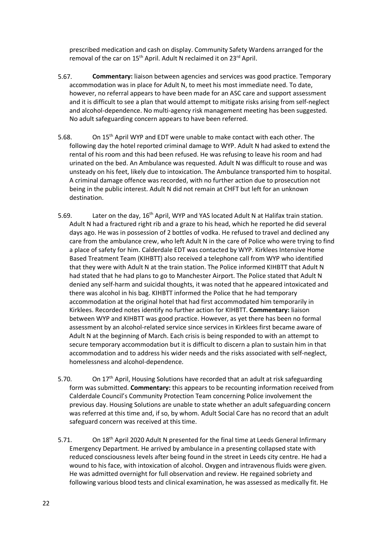prescribed medication and cash on display. Community Safety Wardens arranged for the removal of the car on 15<sup>th</sup> April. Adult N reclaimed it on 23<sup>rd</sup> April.

- 5.67. **Commentary:** liaison between agencies and services was good practice. Temporary accommodation was in place for Adult N, to meet his most immediate need. To date, however, no referral appears to have been made for an ASC care and support assessment and it is difficult to see a plan that would attempt to mitigate risks arising from self-neglect and alcohol-dependence. No multi-agency risk management meeting has been suggested. No adult safeguarding concern appears to have been referred.
- 5.68. On 15th April WYP and EDT were unable to make contact with each other. The following day the hotel reported criminal damage to WYP. Adult N had asked to extend the rental of his room and this had been refused. He was refusing to leave his room and had urinated on the bed. An Ambulance was requested. Adult N was difficult to rouse and was unsteady on his feet, likely due to intoxication. The Ambulance transported him to hospital. A criminal damage offence was recorded, with no further action due to prosecution not being in the public interest. Adult N did not remain at CHFT but left for an unknown destination.
- 5.69. Later on the day, 16<sup>th</sup> April, WYP and YAS located Adult N at Halifax train station. Adult N had a fractured right rib and a graze to his head, which he reported he did several days ago. He was in possession of 2 bottles of vodka. He refused to travel and declined any care from the ambulance crew, who left Adult N in the care of Police who were trying to find a place of safety for him. Calderdale EDT was contacted by WYP. Kirklees Intensive Home Based Treatment Team (KIHBTT) also received a telephone call from WYP who identified that they were with Adult N at the train station. The Police informed KIHBTT that Adult N had stated that he had plans to go to Manchester Airport. The Police stated that Adult N denied any self-harm and suicidal thoughts, it was noted that he appeared intoxicated and there was alcohol in his bag. KIHBTT informed the Police that he had temporary accommodation at the original hotel that had first accommodated him temporarily in Kirklees. Recorded notes identify no further action for KIHBTT. **Commentary:** liaison between WYP and KIHBTT was good practice. However, as yet there has been no formal assessment by an alcohol-related service since services in Kirklees first became aware of Adult N at the beginning of March. Each crisis is being responded to with an attempt to secure temporary accommodation but it is difficult to discern a plan to sustain him in that accommodation and to address his wider needs and the risks associated with self-neglect, homelessness and alcohol-dependence.
- 5.70. On  $17<sup>th</sup>$  April, Housing Solutions have recorded that an adult at risk safeguarding form was submitted. **Commentary:** this appears to be recounting information received from Calderdale Council's Community Protection Team concerning Police involvement the previous day. Housing Solutions are unable to state whether an adult safeguarding concern was referred at this time and, if so, by whom. Adult Social Care has no record that an adult safeguard concern was received at this time.
- 5.71. On 18<sup>th</sup> April 2020 Adult N presented for the final time at Leeds General Infirmary Emergency Department. He arrived by ambulance in a presenting collapsed state with reduced consciousness levels after being found in the street in Leeds city centre. He had a wound to his face, with intoxication of alcohol. Oxygen and intravenous fluids were given. He was admitted overnight for full observation and review. He regained sobriety and following various blood tests and clinical examination, he was assessed as medically fit. He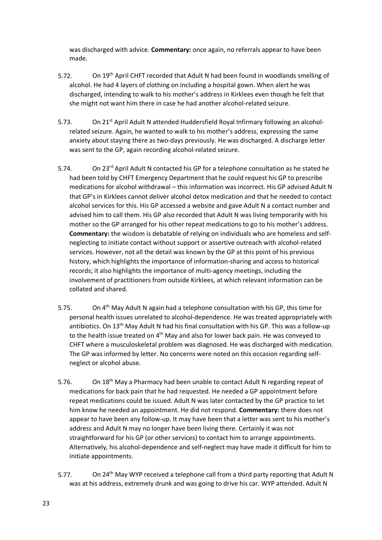was discharged with advice. **Commentary:** once again, no referrals appear to have been made.

- 5.72. On 19th April CHFT recorded that Adult N had been found in woodlands smelling of alcohol. He had 4 layers of clothing on including a hospital gown. When alert he was discharged, intending to walk to his mother's address in Kirklees even though he felt that she might not want him there in case he had another alcohol-related seizure.
- 5.73. On 21<sup>st</sup> April Adult N attended Huddersfield Royal Infirmary following an alcoholrelated seizure. Again, he wanted to walk to his mother's address, expressing the same anxiety about staying there as two-days previously. He was discharged. A discharge letter was sent to the GP, again recording alcohol-related seizure.
- 5.74. On 23<sup>rd</sup> April Adult N contacted his GP for a telephone consultation as he stated he had been told by CHFT Emergency Department that he could request his GP to prescribe medications for alcohol withdrawal – this information was incorrect. His GP advised Adult N that GP's in Kirklees cannot deliver alcohol detox medication and that he needed to contact alcohol services for this. His GP accessed a website and gave Adult N a contact number and advised him to call them. His GP also recorded that Adult N was living temporarily with his mother so the GP arranged for his other repeat medications to go to his mother's address. **Commentary:** the wisdom is debatable of relying on individuals who are homeless and selfneglecting to initiate contact without support or assertive outreach with alcohol-related services. However, not all the detail was known by the GP at this point of his previous history, which highlights the importance of information-sharing and access to historical records; it also highlights the importance of multi-agency meetings, including the involvement of practitioners from outside Kirklees, at which relevant information can be collated and shared.
- 5.75. On 4th May Adult N again had a telephone consultation with his GP, this time for personal health issues unrelated to alcohol-dependence. He was treated appropriately with antibiotics. On 13<sup>th</sup> May Adult N had his final consultation with his GP. This was a follow-up to the health issue treated on 4<sup>th</sup> May and also for lower back pain. He was conveyed to CHFT where a musculoskeletal problem was diagnosed. He was discharged with medication. The GP was informed by letter. No concerns were noted on this occasion regarding selfneglect or alcohol abuse.
- 5.76. On 18<sup>th</sup> May a Pharmacy had been unable to contact Adult N regarding repeat of medications for back pain that he had requested. He needed a GP appointment before repeat medications could be issued. Adult N was later contacted by the GP practice to let him know he needed an appointment. He did not respond. **Commentary:** there does not appear to have been any follow-up. It may have been that a letter was sent to his mother's address and Adult N may no longer have been living there. Certainly it was not straightforward for his GP (or other services) to contact him to arrange appointments. Alternatively, his alcohol-dependence and self-neglect may have made it difficult for him to initiate appointments.
- 5.77. On 24<sup>th</sup> May WYP received a telephone call from a third party reporting that Adult N was at his address, extremely drunk and was going to drive his car. WYP attended. Adult N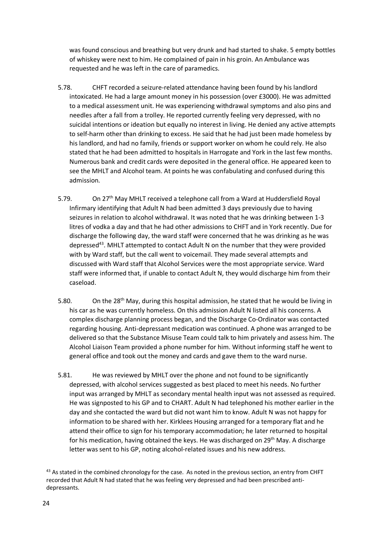was found conscious and breathing but very drunk and had started to shake. 5 empty bottles of whiskey were next to him. He complained of pain in his groin. An Ambulance was requested and he was left in the care of paramedics.

- 5.78. CHFT recorded a seizure-related attendance having been found by his landlord intoxicated. He had a large amount money in his possession (over £3000). He was admitted to a medical assessment unit. He was experiencing withdrawal symptoms and also pins and needles after a fall from a trolley. He reported currently feeling very depressed, with no suicidal intentions or ideation but equally no interest in living. He denied any active attempts to self-harm other than drinking to excess. He said that he had just been made homeless by his landlord, and had no family, friends or support worker on whom he could rely. He also stated that he had been admitted to hospitals in Harrogate and York in the last few months. Numerous bank and credit cards were deposited in the general office. He appeared keen to see the MHLT and Alcohol team. At points he was confabulating and confused during this admission.
- 5.79. On 27th May MHLT received a telephone call from a Ward at Huddersfield Royal Infirmary identifying that Adult N had been admitted 3 days previously due to having seizures in relation to alcohol withdrawal. It was noted that he was drinking between 1-3 litres of vodka a day and that he had other admissions to CHFT and in York recently. Due for discharge the following day, the ward staff were concerned that he was drinking as he was depressed43. MHLT attempted to contact Adult N on the number that they were provided with by Ward staff, but the call went to voicemail. They made several attempts and discussed with Ward staff that Alcohol Services were the most appropriate service. Ward staff were informed that, if unable to contact Adult N, they would discharge him from their caseload.
- 5.80. On the  $28<sup>th</sup>$  May, during this hospital admission, he stated that he would be living in his car as he was currently homeless. On this admission Adult N listed all his concerns. A complex discharge planning process began, and the Discharge Co-Ordinator was contacted regarding housing. Anti-depressant medication was continued. A phone was arranged to be delivered so that the Substance Misuse Team could talk to him privately and assess him. The Alcohol Liaison Team provided a phone number for him. Without informing staff he went to general office and took out the money and cards and gave them to the ward nurse.
- 5.81. He was reviewed by MHLT over the phone and not found to be significantly depressed, with alcohol services suggested as best placed to meet his needs. No further input was arranged by MHLT as secondary mental health input was not assessed as required. He was signposted to his GP and to CHART. Adult N had telephoned his mother earlier in the day and she contacted the ward but did not want him to know. Adult N was not happy for information to be shared with her. Kirklees Housing arranged for a temporary flat and he attend their office to sign for his temporary accommodation; he later returned to hospital for his medication, having obtained the keys. He was discharged on 29<sup>th</sup> May. A discharge letter was sent to his GP, noting alcohol-related issues and his new address.

<sup>&</sup>lt;sup>43</sup> As stated in the combined chronology for the case. As noted in the previous section, an entry from CHFT recorded that Adult N had stated that he was feeling very depressed and had been prescribed antidepressants.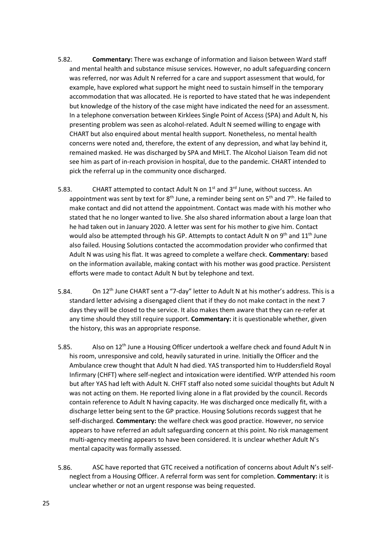- 5.82. **Commentary:** There was exchange of information and liaison between Ward staff and mental health and substance misuse services. However, no adult safeguarding concern was referred, nor was Adult N referred for a care and support assessment that would, for example, have explored what support he might need to sustain himself in the temporary accommodation that was allocated. He is reported to have stated that he was independent but knowledge of the history of the case might have indicated the need for an assessment. In a telephone conversation between Kirklees Single Point of Access (SPA) and Adult N, his presenting problem was seen as alcohol-related. Adult N seemed willing to engage with CHART but also enquired about mental health support. Nonetheless, no mental health concerns were noted and, therefore, the extent of any depression, and what lay behind it, remained masked. He was discharged by SPA and MHLT. The Alcohol Liaison Team did not see him as part of in-reach provision in hospital, due to the pandemic. CHART intended to pick the referral up in the community once discharged.
- 5.83. CHART attempted to contact Adult N on  $1^{st}$  and  $3^{rd}$  June, without success. An appointment was sent by text for  $8<sup>th</sup>$  June, a reminder being sent on  $5<sup>th</sup>$  and  $7<sup>th</sup>$ . He failed to make contact and did not attend the appointment. Contact was made with his mother who stated that he no longer wanted to live. She also shared information about a large loan that he had taken out in January 2020. A letter was sent for his mother to give him. Contact would also be attempted through his GP. Attempts to contact Adult N on 9<sup>th</sup> and 11<sup>th</sup> June also failed. Housing Solutions contacted the accommodation provider who confirmed that Adult N was using his flat. It was agreed to complete a welfare check. **Commentary:** based on the information available, making contact with his mother was good practice. Persistent efforts were made to contact Adult N but by telephone and text.
- 5.84. On 12<sup>th</sup> June CHART sent a "7-day" letter to Adult N at his mother's address. This is a standard letter advising a disengaged client that if they do not make contact in the next 7 days they will be closed to the service. It also makes them aware that they can re-refer at any time should they still require support. **Commentary:** it is questionable whether, given the history, this was an appropriate response.
- 5.85. Also on 12<sup>th</sup> June a Housing Officer undertook a welfare check and found Adult N in his room, unresponsive and cold, heavily saturated in urine. Initially the Officer and the Ambulance crew thought that Adult N had died. YAS transported him to Huddersfield Royal Infirmary (CHFT) where self-neglect and intoxication were identified. WYP attended his room but after YAS had left with Adult N. CHFT staff also noted some suicidal thoughts but Adult N was not acting on them. He reported living alone in a flat provided by the council. Records contain reference to Adult N having capacity. He was discharged once medically fit, with a discharge letter being sent to the GP practice. Housing Solutions records suggest that he self-discharged. **Commentary:** the welfare check was good practice. However, no service appears to have referred an adult safeguarding concern at this point. No risk management multi-agency meeting appears to have been considered. It is unclear whether Adult N's mental capacity was formally assessed.
- 5.86. ASC have reported that GTC received a notification of concerns about Adult N's selfneglect from a Housing Officer. A referral form was sent for completion. **Commentary:** it is unclear whether or not an urgent response was being requested.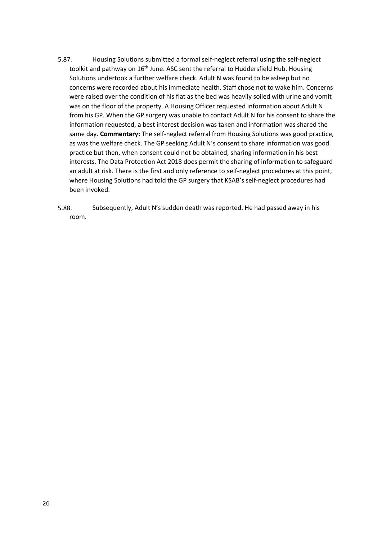- 5.87. Housing Solutions submitted a formal self-neglect referral using the self-neglect toolkit and pathway on 16<sup>th</sup> June. ASC sent the referral to Huddersfield Hub. Housing Solutions undertook a further welfare check. Adult N was found to be asleep but no concerns were recorded about his immediate health. Staff chose not to wake him. Concerns were raised over the condition of his flat as the bed was heavily soiled with urine and vomit was on the floor of the property. A Housing Officer requested information about Adult N from his GP. When the GP surgery was unable to contact Adult N for his consent to share the information requested, a best interest decision was taken and information was shared the same day. **Commentary:** The self-neglect referral from Housing Solutions was good practice, as was the welfare check. The GP seeking Adult N's consent to share information was good practice but then, when consent could not be obtained, sharing information in his best interests. The Data Protection Act 2018 does permit the sharing of information to safeguard an adult at risk. There is the first and only reference to self-neglect procedures at this point, where Housing Solutions had told the GP surgery that KSAB's self-neglect procedures had been invoked.
- 5.88. Subsequently, Adult N's sudden death was reported. He had passed away in his room.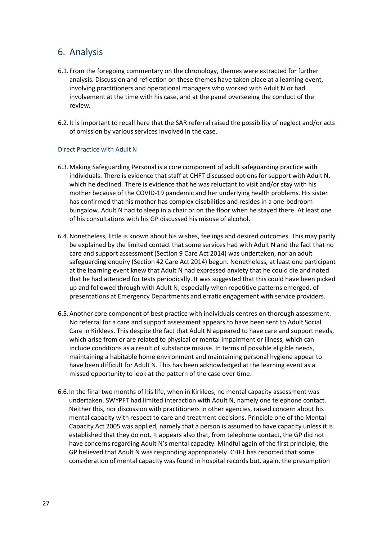## 6. Analysis

- 6.1. From the foregoing commentary on the chronology, themes were extracted for further analysis. Discussion and reflection on these themes have taken place at a learning event, involving practitioners and operational managers who worked with Adult N or had involvement at the time with his case, and at the panel overseeing the conduct of the review.
- 6.2.It is important to recall here that the SAR referral raised the possibility of neglect and/or acts of omission by various services involved in the case.

#### Direct Practice with Adult N

- 6.3.Making Safeguarding Personal is a core component of adult safeguarding practice with individuals. There is evidence that staff at CHFT discussed options for support with Adult N, which he declined. There is evidence that he was reluctant to visit and/or stay with his mother because of the COVID-19 pandemic and her underlying health problems. His sister has confirmed that his mother has complex disabilities and resides in a one-bedroom bungalow. Adult N had to sleep in a chair or on the floor when he stayed there. At least one of his consultations with his GP discussed his misuse of alcohol.
- 6.4.Nonetheless, little is known about his wishes, feelings and desired outcomes. This may partly be explained by the limited contact that some services had with Adult N and the fact that no care and support assessment (Section 9 Care Act 2014) was undertaken, nor an adult safeguarding enquiry (Section 42 Care Act 2014) begun. Nonetheless, at least one participant at the learning event knew that Adult N had expressed anxiety that he could die and noted that he had attended for tests periodically. It was suggested that this could have been picked up and followed through with Adult N, especially when repetitive patterns emerged, of presentations at Emergency Departments and erratic engagement with service providers.
- 6.5.Another core component of best practice with individuals centres on thorough assessment. No referral for a care and support assessment appears to have been sent to Adult Social Care in Kirklees. This despite the fact that Adult N appeared to have care and support needs, which arise from or are related to physical or mental impairment or illness, which can include conditions as a result of substance misuse. In terms of possible eligible needs, maintaining a habitable home environment and maintaining personal hygiene appear to have been difficult for Adult N. This has been acknowledged at the learning event as a missed opportunity to look at the pattern of the case over time.
- 6.6.In the final two months of his life, when in Kirklees, no mental capacity assessment was undertaken. SWYPFT had limited interaction with Adult N, namely one telephone contact. Neither this, nor discussion with practitioners in other agencies, raised concern about his mental capacity with respect to care and treatment decisions. Principle one of the Mental Capacity Act 2005 was applied, namely that a person is assumed to have capacity unless it is established that they do not. It appears also that, from telephone contact, the GP did not have concerns regarding Adult N's mental capacity. Mindful again of the first principle, the GP believed that Adult N was responding appropriately. CHFT has reported that some consideration of mental capacity was found in hospital records but, again, the presumption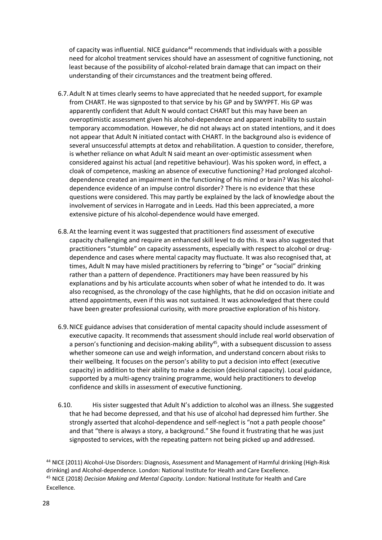of capacity was influential. NICE guidance $44$  recommends that individuals with a possible need for alcohol treatment services should have an assessment of cognitive functioning, not least because of the possibility of alcohol-related brain damage that can impact on their understanding of their circumstances and the treatment being offered.

- 6.7.Adult N at times clearly seems to have appreciated that he needed support, for example from CHART. He was signposted to that service by his GP and by SWYPFT. His GP was apparently confident that Adult N would contact CHART but this may have been an overoptimistic assessment given his alcohol-dependence and apparent inability to sustain temporary accommodation. However, he did not always act on stated intentions, and it does not appear that Adult N initiated contact with CHART. In the background also is evidence of several unsuccessful attempts at detox and rehabilitation. A question to consider, therefore, is whether reliance on what Adult N said meant an over-optimistic assessment when considered against his actual (and repetitive behaviour). Was his spoken word, in effect, a cloak of competence, masking an absence of executive functioning? Had prolonged alcoholdependence created an impairment in the functioning of his mind or brain? Was his alcoholdependence evidence of an impulse control disorder? There is no evidence that these questions were considered. This may partly be explained by the lack of knowledge about the involvement of services in Harrogate and in Leeds. Had this been appreciated, a more extensive picture of his alcohol-dependence would have emerged.
- 6.8.At the learning event it was suggested that practitioners find assessment of executive capacity challenging and require an enhanced skill level to do this. It was also suggested that practitioners "stumble" on capacity assessments, especially with respect to alcohol or drugdependence and cases where mental capacity may fluctuate. It was also recognised that, at times, Adult N may have misled practitioners by referring to "binge" or "social" drinking rather than a pattern of dependence. Practitioners may have been reassured by his explanations and by his articulate accounts when sober of what he intended to do. It was also recognised, as the chronology of the case highlights, that he did on occasion initiate and attend appointments, even if this was not sustained. It was acknowledged that there could have been greater professional curiosity, with more proactive exploration of his history.
- 6.9.NICE guidance advises that consideration of mental capacity should include assessment of executive capacity. It recommends that assessment should include real world observation of a person's functioning and decision-making ability<sup>45</sup>, with a subsequent discussion to assess whether someone can use and weigh information, and understand concern about risks to their wellbeing. It focuses on the person's ability to put a decision into effect (executive capacity) in addition to their ability to make a decision (decisional capacity). Local guidance, supported by a multi-agency training programme, would help practitioners to develop confidence and skills in assessment of executive functioning.
- 6.10. His sister suggested that Adult N's addiction to alcohol was an illness. She suggested that he had become depressed, and that his use of alcohol had depressed him further. She strongly asserted that alcohol-dependence and self-neglect is "not a path people choose" and that "there is always a story, a background." She found it frustrating that he was just signposted to services, with the repeating pattern not being picked up and addressed.

<sup>44</sup> NICE (2011) Alcohol-Use Disorders: Diagnosis, Assessment and Management of Harmful drinking (High-Risk drinking) and Alcohol-dependence. London: National Institute for Health and Care Excellence. <sup>45</sup> NICE (2018) *Decision Making and Mental Capacity*. London: National Institute for Health and Care Excellence.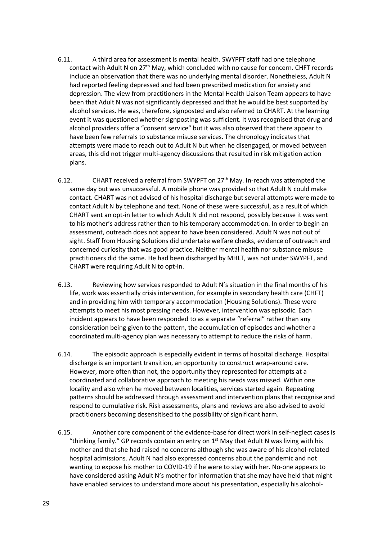- 6.11. A third area for assessment is mental health. SWYPFT staff had one telephone contact with Adult N on 27th May, which concluded with no cause for concern. CHFT records include an observation that there was no underlying mental disorder. Nonetheless, Adult N had reported feeling depressed and had been prescribed medication for anxiety and depression. The view from practitioners in the Mental Health Liaison Team appears to have been that Adult N was not significantly depressed and that he would be best supported by alcohol services. He was, therefore, signposted and also referred to CHART. At the learning event it was questioned whether signposting was sufficient. It was recognised that drug and alcohol providers offer a "consent service" but it was also observed that there appear to have been few referrals to substance misuse services. The chronology indicates that attempts were made to reach out to Adult N but when he disengaged, or moved between areas, this did not trigger multi-agency discussions that resulted in risk mitigation action plans.
- 6.12. CHART received a referral from SWYPFT on  $27<sup>th</sup>$  May. In-reach was attempted the same day but was unsuccessful. A mobile phone was provided so that Adult N could make contact. CHART was not advised of his hospital discharge but several attempts were made to contact Adult N by telephone and text. None of these were successful, as a result of which CHART sent an opt-in letter to which Adult N did not respond, possibly because it was sent to his mother's address rather than to his temporary accommodation. In order to begin an assessment, outreach does not appear to have been considered. Adult N was not out of sight. Staff from Housing Solutions did undertake welfare checks, evidence of outreach and concerned curiosity that was good practice. Neither mental health nor substance misuse practitioners did the same. He had been discharged by MHLT, was not under SWYPFT, and CHART were requiring Adult N to opt-in.
- 6.13. Reviewing how services responded to Adult N's situation in the final months of his life, work was essentially crisis intervention, for example in secondary health care (CHFT) and in providing him with temporary accommodation (Housing Solutions). These were attempts to meet his most pressing needs. However, intervention was episodic. Each incident appears to have been responded to as a separate "referral" rather than any consideration being given to the pattern, the accumulation of episodes and whether a coordinated multi-agency plan was necessary to attempt to reduce the risks of harm.
- 6.14. The episodic approach is especially evident in terms of hospital discharge. Hospital discharge is an important transition, an opportunity to construct wrap-around care. However, more often than not, the opportunity they represented for attempts at a coordinated and collaborative approach to meeting his needs was missed. Within one locality and also when he moved between localities, services started again. Repeating patterns should be addressed through assessment and intervention plans that recognise and respond to cumulative risk. Risk assessments, plans and reviews are also advised to avoid practitioners becoming desensitised to the possibility of significant harm.
- 6.15. Another core component of the evidence-base for direct work in self-neglect cases is "thinking family." GP records contain an entry on  $1<sup>st</sup>$  May that Adult N was living with his mother and that she had raised no concerns although she was aware of his alcohol-related hospital admissions. Adult N had also expressed concerns about the pandemic and not wanting to expose his mother to COVID-19 if he were to stay with her. No-one appears to have considered asking Adult N's mother for information that she may have held that might have enabled services to understand more about his presentation, especially his alcohol-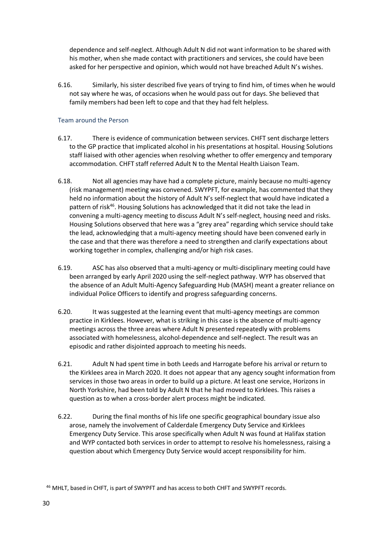dependence and self-neglect. Although Adult N did not want information to be shared with his mother, when she made contact with practitioners and services, she could have been asked for her perspective and opinion, which would not have breached Adult N's wishes.

6.16. Similarly, his sister described five years of trying to find him, of times when he would not say where he was, of occasions when he would pass out for days. She believed that family members had been left to cope and that they had felt helpless.

## Team around the Person

- 6.17. There is evidence of communication between services. CHFT sent discharge letters to the GP practice that implicated alcohol in his presentations at hospital. Housing Solutions staff liaised with other agencies when resolving whether to offer emergency and temporary accommodation. CHFT staff referred Adult N to the Mental Health Liaison Team.
- 6.18. Not all agencies may have had a complete picture, mainly because no multi-agency (risk management) meeting was convened. SWYPFT, for example, has commented that they held no information about the history of Adult N's self-neglect that would have indicated a pattern of risk<sup>46</sup>. Housing Solutions has acknowledged that it did not take the lead in convening a multi-agency meeting to discuss Adult N's self-neglect, housing need and risks. Housing Solutions observed that here was a "grey area" regarding which service should take the lead, acknowledging that a multi-agency meeting should have been convened early in the case and that there was therefore a need to strengthen and clarify expectations about working together in complex, challenging and/or high risk cases.
- 6.19. ASC has also observed that a multi-agency or multi-disciplinary meeting could have been arranged by early April 2020 using the self-neglect pathway. WYP has observed that the absence of an Adult Multi-Agency Safeguarding Hub (MASH) meant a greater reliance on individual Police Officers to identify and progress safeguarding concerns.
- 6.20. It was suggested at the learning event that multi-agency meetings are common practice in Kirklees. However, what is striking in this case is the absence of multi-agency meetings across the three areas where Adult N presented repeatedly with problems associated with homelessness, alcohol-dependence and self-neglect. The result was an episodic and rather disjointed approach to meeting his needs.
- 6.21. Adult N had spent time in both Leeds and Harrogate before his arrival or return to the Kirklees area in March 2020. It does not appear that any agency sought information from services in those two areas in order to build up a picture. At least one service, Horizons in North Yorkshire, had been told by Adult N that he had moved to Kirklees. This raises a question as to when a cross-border alert process might be indicated.
- 6.22. During the final months of his life one specific geographical boundary issue also arose, namely the involvement of Calderdale Emergency Duty Service and Kirklees Emergency Duty Service. This arose specifically when Adult N was found at Halifax station and WYP contacted both services in order to attempt to resolve his homelessness, raising a question about which Emergency Duty Service would accept responsibility for him.

<sup>46</sup> MHLT, based in CHFT, is part of SWYPFT and has access to both CHFT and SWYPFT records.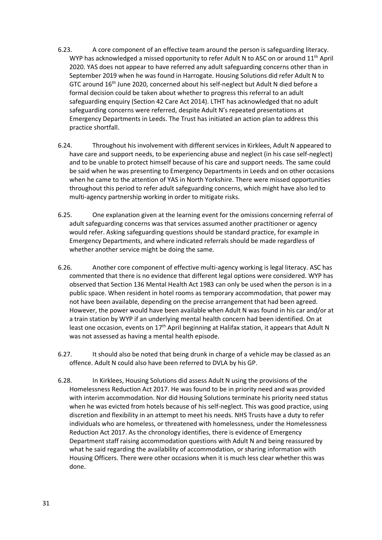- 6.23. A core component of an effective team around the person is safeguarding literacy. WYP has acknowledged a missed opportunity to refer Adult N to ASC on or around  $11<sup>th</sup>$  April 2020. YAS does not appear to have referred any adult safeguarding concerns other than in September 2019 when he was found in Harrogate. Housing Solutions did refer Adult N to GTC around 16th June 2020, concerned about his self-neglect but Adult N died before a formal decision could be taken about whether to progress this referral to an adult safeguarding enquiry (Section 42 Care Act 2014). LTHT has acknowledged that no adult safeguarding concerns were referred, despite Adult N's repeated presentations at Emergency Departments in Leeds. The Trust has initiated an action plan to address this practice shortfall.
- 6.24. Throughout his involvement with different services in Kirklees, Adult N appeared to have care and support needs, to be experiencing abuse and neglect (in his case self-neglect) and to be unable to protect himself because of his care and support needs. The same could be said when he was presenting to Emergency Departments in Leeds and on other occasions when he came to the attention of YAS in North Yorkshire. There were missed opportunities throughout this period to refer adult safeguarding concerns, which might have also led to multi-agency partnership working in order to mitigate risks.
- 6.25. One explanation given at the learning event for the omissions concerning referral of adult safeguarding concerns was that services assumed another practitioner or agency would refer. Asking safeguarding questions should be standard practice, for example in Emergency Departments, and where indicated referrals should be made regardless of whether another service might be doing the same.
- 6.26. Another core component of effective multi-agency working is legal literacy. ASC has commented that there is no evidence that different legal options were considered. WYP has observed that Section 136 Mental Health Act 1983 can only be used when the person is in a public space. When resident in hotel rooms as temporary accommodation, that power may not have been available, depending on the precise arrangement that had been agreed. However, the power would have been available when Adult N was found in his car and/or at a train station by WYP if an underlying mental health concern had been identified. On at least one occasion, events on  $17<sup>th</sup>$  April beginning at Halifax station, it appears that Adult N was not assessed as having a mental health episode.
- 6.27. It should also be noted that being drunk in charge of a vehicle may be classed as an offence. Adult N could also have been referred to DVLA by his GP.
- 6.28. In Kirklees, Housing Solutions did assess Adult N using the provisions of the Homelessness Reduction Act 2017. He was found to be in priority need and was provided with interim accommodation. Nor did Housing Solutions terminate his priority need status when he was evicted from hotels because of his self-neglect. This was good practice, using discretion and flexibility in an attempt to meet his needs. NHS Trusts have a duty to refer individuals who are homeless, or threatened with homelessness, under the Homelessness Reduction Act 2017. As the chronology identifies, there is evidence of Emergency Department staff raising accommodation questions with Adult N and being reassured by what he said regarding the availability of accommodation, or sharing information with Housing Officers. There were other occasions when it is much less clear whether this was done.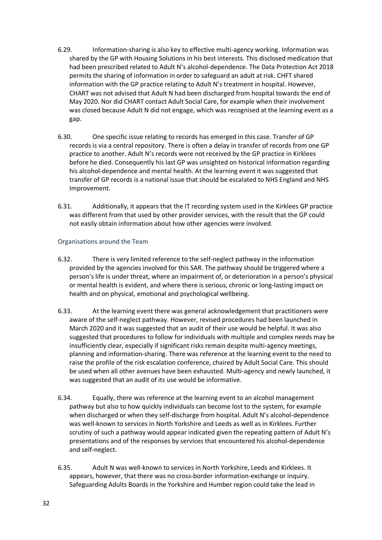- 6.29. Information-sharing is also key to effective multi-agency working. Information was shared by the GP with Housing Solutions in his best interests. This disclosed medication that had been prescribed related to Adult N's alcohol-dependence. The Data Protection Act 2018 permits the sharing of information in order to safeguard an adult at risk. CHFT shared information with the GP practice relating to Adult N's treatment in hospital. However, CHART was not advised that Adult N had been discharged from hospital towards the end of May 2020. Nor did CHART contact Adult Social Care, for example when their involvement was closed because Adult N did not engage, which was recognised at the learning event as a gap.
- 6.30. One specific issue relating to records has emerged in this case. Transfer of GP records is via a central repository. There is often a delay in transfer of records from one GP practice to another. Adult N's records were not received by the GP practice in Kirklees before he died. Consequently his last GP was unsighted on historical information regarding his alcohol-dependence and mental health. At the learning event it was suggested that transfer of GP records is a national issue that should be escalated to NHS England and NHS Improvement.
- 6.31. Additionally, it appears that the IT recording system used in the Kirklees GP practice was different from that used by other provider services, with the result that the GP could not easily obtain information about how other agencies were involved.

### Organisations around the Team

- 6.32. There is very limited reference to the self-neglect pathway in the information provided by the agencies involved for this SAR. The pathway should be triggered where a person's life is under threat, where an impairment of, or deterioration in a person's physical or mental health is evident, and where there is serious, chronic or long-lasting impact on health and on physical, emotional and psychological wellbeing.
- 6.33. At the learning event there was general acknowledgement that practitioners were aware of the self-neglect pathway. However, revised procedures had been launched in March 2020 and it was suggested that an audit of their use would be helpful. It was also suggested that procedures to follow for individuals with multiple and complex needs may be insufficiently clear, especially if significant risks remain despite multi-agency meetings, planning and information-sharing. There was reference at the learning event to the need to raise the profile of the risk escalation conference, chaired by Adult Social Care. This should be used when all other avenues have been exhausted. Multi-agency and newly launched, it was suggested that an audit of its use would be informative.
- 6.34. Equally, there was reference at the learning event to an alcohol management pathway but also to how quickly individuals can become lost to the system, for example when discharged or when they self-discharge from hospital. Adult N's alcohol-dependence was well-known to services in North Yorkshire and Leeds as well as in Kirklees. Further scrutiny of such a pathway would appear indicated given the repeating pattern of Adult N's presentations and of the responses by services that encountered his alcohol-dependence and self-neglect.
- 6.35. Adult N was well-known to services in North Yorkshire, Leeds and Kirklees. It appears, however, that there was no cross-border information-exchange or inquiry. Safeguarding Adults Boards in the Yorkshire and Humber region could take the lead in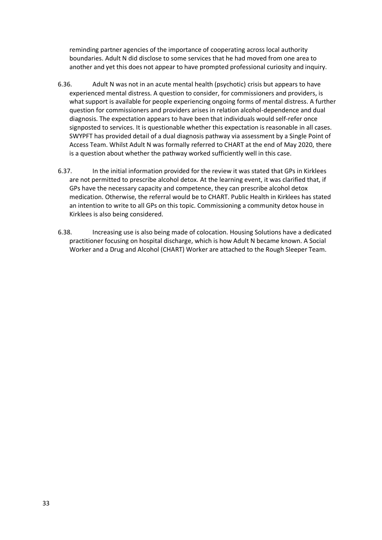reminding partner agencies of the importance of cooperating across local authority boundaries. Adult N did disclose to some services that he had moved from one area to another and yet this does not appear to have prompted professional curiosity and inquiry.

- 6.36. Adult N was not in an acute mental health (psychotic) crisis but appears to have experienced mental distress. A question to consider, for commissioners and providers, is what support is available for people experiencing ongoing forms of mental distress. A further question for commissioners and providers arises in relation alcohol-dependence and dual diagnosis. The expectation appears to have been that individuals would self-refer once signposted to services. It is questionable whether this expectation is reasonable in all cases. SWYPFT has provided detail of a dual diagnosis pathway via assessment by a Single Point of Access Team. Whilst Adult N was formally referred to CHART at the end of May 2020, there is a question about whether the pathway worked sufficiently well in this case.
- 6.37. In the initial information provided for the review it was stated that GPs in Kirklees are not permitted to prescribe alcohol detox. At the learning event, it was clarified that, if GPs have the necessary capacity and competence, they can prescribe alcohol detox medication. Otherwise, the referral would be to CHART. Public Health in Kirklees has stated an intention to write to all GPs on this topic. Commissioning a community detox house in Kirklees is also being considered.
- 6.38. Increasing use is also being made of colocation. Housing Solutions have a dedicated practitioner focusing on hospital discharge, which is how Adult N became known. A Social Worker and a Drug and Alcohol (CHART) Worker are attached to the Rough Sleeper Team.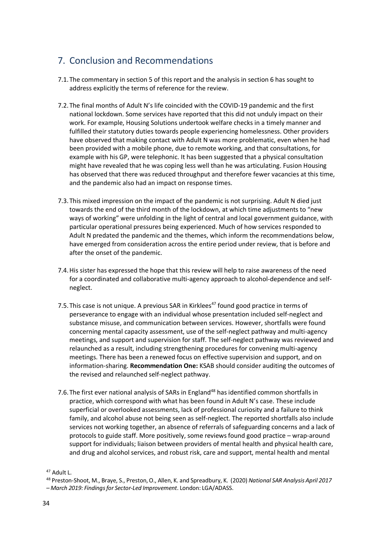## 7. Conclusion and Recommendations

- 7.1.The commentary in section 5 of this report and the analysis in section 6 has sought to address explicitly the terms of reference for the review.
- 7.2.The final months of Adult N's life coincided with the COVID-19 pandemic and the first national lockdown. Some services have reported that this did not unduly impact on their work. For example, Housing Solutions undertook welfare checks in a timely manner and fulfilled their statutory duties towards people experiencing homelessness. Other providers have observed that making contact with Adult N was more problematic, even when he had been provided with a mobile phone, due to remote working, and that consultations, for example with his GP, were telephonic. It has been suggested that a physical consultation might have revealed that he was coping less well than he was articulating. Fusion Housing has observed that there was reduced throughput and therefore fewer vacancies at this time, and the pandemic also had an impact on response times.
- 7.3.This mixed impression on the impact of the pandemic is not surprising. Adult N died just towards the end of the third month of the lockdown, at which time adjustments to "new ways of working" were unfolding in the light of central and local government guidance, with particular operational pressures being experienced. Much of how services responded to Adult N predated the pandemic and the themes, which inform the recommendations below, have emerged from consideration across the entire period under review, that is before and after the onset of the pandemic.
- 7.4.His sister has expressed the hope that this review will help to raise awareness of the need for a coordinated and collaborative multi-agency approach to alcohol-dependence and selfneglect.
- 7.5. This case is not unique. A previous SAR in Kirklees<sup>47</sup> found good practice in terms of perseverance to engage with an individual whose presentation included self-neglect and substance misuse, and communication between services. However, shortfalls were found concerning mental capacity assessment, use of the self-neglect pathway and multi-agency meetings, and support and supervision for staff. The self-neglect pathway was reviewed and relaunched as a result, including strengthening procedures for convening multi-agency meetings. There has been a renewed focus on effective supervision and support, and on information-sharing. **Recommendation One:** KSAB should consider auditing the outcomes of the revised and relaunched self-neglect pathway.
- 7.6. The first ever national analysis of SARs in England<sup>48</sup> has identified common shortfalls in practice, which correspond with what has been found in Adult N's case. These include superficial or overlooked assessments, lack of professional curiosity and a failure to think family, and alcohol abuse not being seen as self-neglect. The reported shortfalls also include services not working together, an absence of referrals of safeguarding concerns and a lack of protocols to guide staff. More positively, some reviews found good practice – wrap-around support for individuals; liaison between providers of mental health and physical health care, and drug and alcohol services, and robust risk, care and support, mental health and mental

<sup>47</sup> Adult L.

<sup>48</sup> Preston-Shoot, M., Braye, S., Preston,O., Allen, K. and Spreadbury, K. (2020) *National SAR Analysis April 2017*

*<sup>–</sup> March 2019: Findingsfor Sector-Led Improvement*. London: LGA/ADASS.